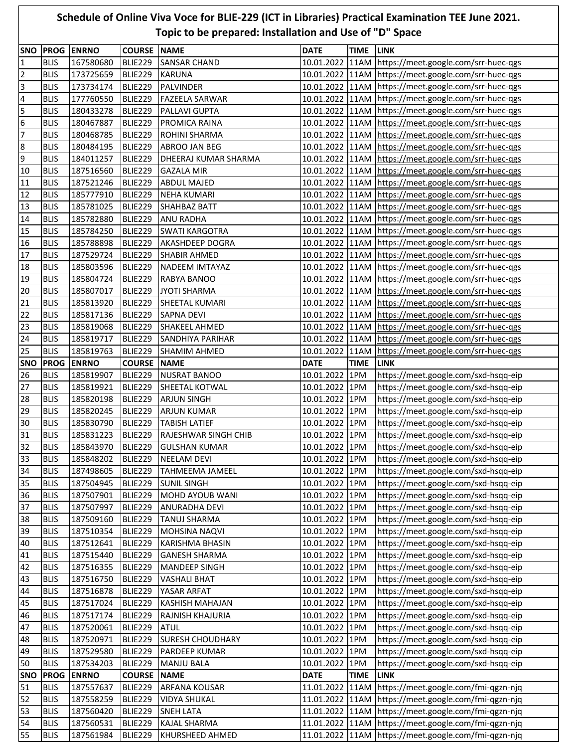## **Schedule of Online Viva Voce for BLIE-229 (ICT in Libraries) Practical Examination TEE June 2021. Topic to be prepared: Installation and Use of "D" Space**

| <b>SNO</b><br>$\mathbf{1}$ | <b>BLIS</b>                | <b>PROG ENRNO</b><br>167580680 | <b>COURSE NAME</b><br>BLIE229 | <b>SANSAR CHAND</b>                    | <b>DATE</b>                      | <b>TIME LINK</b> | 10.01.2022 11AM https://meet.google.com/srr-huec-qgs                                                             |
|----------------------------|----------------------------|--------------------------------|-------------------------------|----------------------------------------|----------------------------------|------------------|------------------------------------------------------------------------------------------------------------------|
| $\overline{2}$             | <b>BLIS</b>                | 173725659                      | BLIE229                       | <b>KARUNA</b>                          |                                  |                  | 10.01.2022 11AM https://meet.google.com/srr-huec-qgs                                                             |
| $\overline{\mathbf{3}}$    | <b>BLIS</b>                | 173734174                      | BLIE229                       | <b>PALVINDER</b>                       |                                  |                  | 10.01.2022 11AM https://meet.google.com/srr-huec-qgs                                                             |
| $\overline{\mathbf{4}}$    | <b>BLIS</b>                | 177760550                      | BLIE229                       | <b>FAZEELA SARWAR</b>                  |                                  |                  | 10.01.2022   11AM   https://meet.google.com/srr-huec-qgs                                                         |
| 5                          | <b>BLIS</b>                | 180433278                      | BLIE229                       | PALLAVI GUPTA                          |                                  |                  | 10.01.2022 11AM https://meet.google.com/srr-huec-qgs                                                             |
| $6\phantom{1}6$            | <b>BLIS</b>                | 180467887                      | BLIE229                       | PROMICA RAINA                          |                                  |                  | 10.01.2022 11AM https://meet.google.com/srr-huec-qgs                                                             |
| $\overline{7}$             | <b>BLIS</b>                | 180468785                      | BLIE229                       | ROHINI SHARMA                          |                                  |                  | 10.01.2022 11AM https://meet.google.com/srr-huec-ggs                                                             |
| $\bf 8$                    | <b>BLIS</b>                | 180484195                      | BLIE229                       | ABROO JAN BEG                          |                                  |                  | 10.01.2022 11AM https://meet.google.com/srr-huec-qgs                                                             |
| 9                          | <b>BLIS</b>                | 184011257                      | BLIE229                       | DHEERAJ KUMAR SHARMA                   |                                  |                  | 10.01.2022 11AM https://meet.google.com/srr-huec-ggs                                                             |
| 10                         | <b>BLIS</b>                | 187516560                      | BLIE229                       | <b>GAZALA MIR</b>                      |                                  |                  | 10.01.2022 11AM https://meet.google.com/srr-huec-ggs                                                             |
| 11                         | <b>BLIS</b>                | 187521246                      | BLIE229                       | <b>ABDUL MAJED</b>                     |                                  |                  | 10.01.2022 11AM https://meet.google.com/srr-huec-qgs                                                             |
| 12                         | <b>BLIS</b>                | 185777910                      | BLIE229                       | <b>NEHA KUMARI</b>                     |                                  |                  | 10.01.2022 11AM https://meet.google.com/srr-huec-qgs                                                             |
| 13                         | <b>BLIS</b>                | 185781025                      | BLIE229                       | <b>SHAHBAZ BATT</b>                    |                                  |                  | 10.01.2022 11AM https://meet.google.com/srr-huec-qgs                                                             |
| 14                         | <b>BLIS</b>                | 185782880                      | BLIE229                       | <b>ANU RADHA</b>                       |                                  |                  | 10.01.2022 11AM https://meet.google.com/srr-huec-qgs                                                             |
| 15                         | <b>BLIS</b>                | 185784250                      | BLIE229                       | <b>SWATI KARGOTRA</b>                  |                                  |                  | 10.01.2022 11AM https://meet.google.com/srr-huec-qgs                                                             |
| 16                         | <b>BLIS</b>                | 185788898                      | <b>BLIE229</b>                | AKASHDEEP DOGRA                        |                                  |                  | 10.01.2022 11AM https://meet.google.com/srr-huec-qgs                                                             |
| 17                         | <b>BLIS</b>                | 187529724                      | BLIE229                       | <b>SHABIR AHMED</b>                    |                                  |                  | 10.01.2022 11AM https://meet.google.com/srr-huec-qgs                                                             |
| 18                         | <b>BLIS</b>                | 185803596                      | BLIE229                       | NADEEM IMTAYAZ                         |                                  |                  | 10.01.2022 11AM https://meet.google.com/srr-huec-qgs                                                             |
| 19                         | <b>BLIS</b>                | 185804724                      | BLIE229                       | RABYA BANOO                            |                                  |                  | 10.01.2022 11AM https://meet.google.com/srr-huec-qgs                                                             |
| 20                         | <b>BLIS</b>                | 185807017                      | BLIE229                       | <b>JYOTI SHARMA</b>                    |                                  |                  | 10.01.2022 11AM https://meet.google.com/srr-huec-qgs                                                             |
| 21                         | <b>BLIS</b>                | 185813920                      | BLIE229                       | SHEETAL KUMARI                         |                                  |                  | 10.01.2022 11AM https://meet.google.com/srr-huec-ggs                                                             |
| 22                         | <b>BLIS</b>                | 185817136                      | BLIE229                       | <b>SAPNA DEVI</b>                      |                                  |                  | 10.01.2022 11AM https://meet.google.com/srr-huec-qgs                                                             |
| 23                         | <b>BLIS</b>                | 185819068                      | BLIE229                       | SHAKEEL AHMED                          |                                  |                  | 10.01.2022 11AM https://meet.google.com/srr-huec-qgs                                                             |
| 24                         | <b>BLIS</b>                | 185819717                      | BLIE229                       | <b>SANDHIYA PARIHAR</b>                |                                  |                  | 10.01.2022 11AM https://meet.google.com/srr-huec-qgs                                                             |
| 25                         | <b>BLIS</b>                | 185819763                      | BLIE229                       | <b>SHAMIM AHMED</b>                    |                                  |                  | 10.01.2022 11AM https://meet.google.com/srr-huec-qgs                                                             |
| SNO                        | <b>PROG</b>                | <b>ENRNO</b>                   | <b>COURSE</b>                 | <b>NAME</b>                            | <b>DATE</b>                      | <b>TIME</b>      | <b>LINK</b>                                                                                                      |
| 26                         | <b>BLIS</b>                | 185819907                      | BLIE229                       | <b>NUSRAT BANOO</b>                    | 10.01.2022 1PM                   |                  | https://meet.google.com/sxd-hsqq-eip                                                                             |
| 27                         | <b>BLIS</b>                | 185819921                      | BLIE229                       | SHEETAL KOTWAL                         | 10.01.2022 1PM                   |                  | https://meet.google.com/sxd-hsqq-eip                                                                             |
| 28                         | <b>BLIS</b>                | 185820198                      | BLIE229                       | <b>ARJUN SINGH</b>                     | 10.01.2022 1PM                   |                  | https://meet.google.com/sxd-hsqq-eip                                                                             |
| 29                         | <b>BLIS</b>                | 185820245                      | BLIE229                       | <b>ARJUN KUMAR</b>                     | 10.01.2022 1PM                   |                  | https://meet.google.com/sxd-hsqq-eip                                                                             |
| 30                         | <b>BLIS</b>                | 185830790                      | BLIE229                       | <b>TABISH LATIEF</b>                   | 10.01.2022 1PM                   |                  | https://meet.google.com/sxd-hsqq-eip                                                                             |
| 31                         | <b>BLIS</b>                | 185831223                      | BLIE229                       | RAJESHWAR SINGH CHIB                   | 10.01.2022 1PM                   |                  | https://meet.google.com/sxd-hsqq-eip                                                                             |
| 32                         | <b>BLIS</b>                | 185843970                      | BLIE229                       | <b>GULSHAN KUMAR</b>                   | 10.01.2022 1PM                   |                  | https://meet.google.com/sxd-hsqq-eip                                                                             |
| 33                         | <b>BLIS</b>                | 185848202                      | BLIE229                       | <b>NEELAM DEVI</b>                     | 10.01.2022 1PM                   |                  | https://meet.google.com/sxd-hsqq-eip                                                                             |
| 34                         | <b>BLIS</b>                | 187498605                      | BLIE229                       | <b>TAHMEEMA JAMEEL</b>                 | 10.01.2022 1PM                   |                  | https://meet.google.com/sxd-hsqq-eip                                                                             |
| 35                         | <b>BLIS</b>                | 187504945                      | BLIE229                       | <b>SUNIL SINGH</b>                     | 10.01.2022 1PM                   |                  | https://meet.google.com/sxd-hsqq-eip                                                                             |
| 36                         | <b>BLIS</b>                | 187507901                      | BLIE229                       | MOHD AYOUB WANI                        | 10.01.2022 1PM                   |                  | https://meet.google.com/sxd-hsqq-eip                                                                             |
| 37                         | <b>BLIS</b>                | 187507997                      | <b>BLIE229</b>                | <b>ANURADHA DEVI</b>                   | 10.01.2022 1PM                   |                  | https://meet.google.com/sxd-hsqq-eip                                                                             |
| 38                         | <b>BLIS</b>                | 187509160                      | <b>BLIE229</b>                | <b>TANUJ SHARMA</b>                    | 10.01.2022 1PM                   |                  | https://meet.google.com/sxd-hsqq-eip                                                                             |
| 39                         | <b>BLIS</b>                | 187510354                      | BLIE229                       | MOHSINA NAQVI                          | 10.01.2022 1PM                   |                  | https://meet.google.com/sxd-hsqq-eip                                                                             |
| 40                         | <b>BLIS</b>                | 187512641                      | <b>BLIE229</b>                | KARISHMA BHASIN                        | 10.01.2022 1PM                   |                  | https://meet.google.com/sxd-hsqq-eip                                                                             |
| 41                         | <b>BLIS</b>                | 187515440                      | BLIE229                       | <b>GANESH SHARMA</b>                   | 10.01.2022 1PM                   |                  | https://meet.google.com/sxd-hsqq-eip                                                                             |
| 42                         | <b>BLIS</b>                | 187516355                      | BLIE229                       | MANDEEP SINGH                          | 10.01.2022 1PM                   |                  | https://meet.google.com/sxd-hsqq-eip                                                                             |
| 43                         | <b>BLIS</b>                | 187516750                      | BLIE229                       | <b>VASHALI BHAT</b>                    | 10.01.2022 1PM                   |                  | https://meet.google.com/sxd-hsqq-eip                                                                             |
| 44                         | <b>BLIS</b>                | 187516878                      | BLIE229                       | YASAR ARFAT                            | 10.01.2022 1PM                   |                  | https://meet.google.com/sxd-hsqq-eip                                                                             |
| 45                         | <b>BLIS</b><br><b>BLIS</b> | 187517024                      | BLIE229                       | <b>KASHISH MAHAJAN</b>                 | 10.01.2022 1PM                   |                  | https://meet.google.com/sxd-hsqq-eip                                                                             |
| 46                         |                            | 187517174                      | BLIE229                       | RAJNISH KHAJURIA                       | 10.01.2022 1PM                   |                  | https://meet.google.com/sxd-hsqq-eip                                                                             |
| 47                         | <b>BLIS</b>                | 187520061                      | <b>BLIE229</b>                | <b>ATUL</b><br><b>SURESH CHOUDHARY</b> | 10.01.2022 1PM                   |                  | https://meet.google.com/sxd-hsqq-eip<br>https://meet.google.com/sxd-hsqq-eip                                     |
| 48                         | <b>BLIS</b><br><b>BLIS</b> | 187520971                      | BLIE229                       |                                        | 10.01.2022 1PM<br>10.01.2022 1PM |                  | https://meet.google.com/sxd-hsqq-eip                                                                             |
| 49<br>50                   | <b>BLIS</b>                | 187529580<br>187534203         | BLIE229<br>BLIE229            | PARDEEP KUMAR<br><b>MANJU BALA</b>     | 10.01.2022 1PM                   |                  | https://meet.google.com/sxd-hsqq-eip                                                                             |
| <b>SNO</b>                 | <b>PROG</b>                | <b>ENRNO</b>                   | <b>COURSE</b>                 | <b>NAME</b>                            | <b>DATE</b>                      | <b>TIME</b>      | <b>LINK</b>                                                                                                      |
| 51                         | <b>BLIS</b>                | 187557637                      | <b>BLIE229</b>                | <b>ARFANA KOUSAR</b>                   |                                  |                  | 11.01.2022   11AM   https://meet.google.com/fmi-qgzn-njq                                                         |
| 52                         | <b>BLIS</b>                | 187558259                      | <b>BLIE229</b>                | <b>VIDYA SHUKAL</b>                    |                                  |                  | 11.01.2022 11AM https://meet.google.com/fmi-qgzn-njq                                                             |
| 53                         |                            | 187560420                      | BLIE229                       | <b>SNEH LATA</b>                       |                                  |                  | 11.01.2022 11AM https://meet.google.com/fmi-qgzn-njq                                                             |
|                            |                            |                                |                               |                                        |                                  |                  |                                                                                                                  |
|                            | <b>BLIS</b>                |                                |                               |                                        |                                  |                  |                                                                                                                  |
| 54<br>55                   | <b>BLIS</b><br><b>BLIS</b> | 187560531<br>187561984         | BLIE229<br><b>BLIE229</b>     | KAJAL SHARMA<br>KHURSHEED AHMED        |                                  |                  | 11.01.2022 11AM https://meet.google.com/fmi-qgzn-njq<br>11.01.2022   11AM   https://meet.google.com/fmi-qgzn-njq |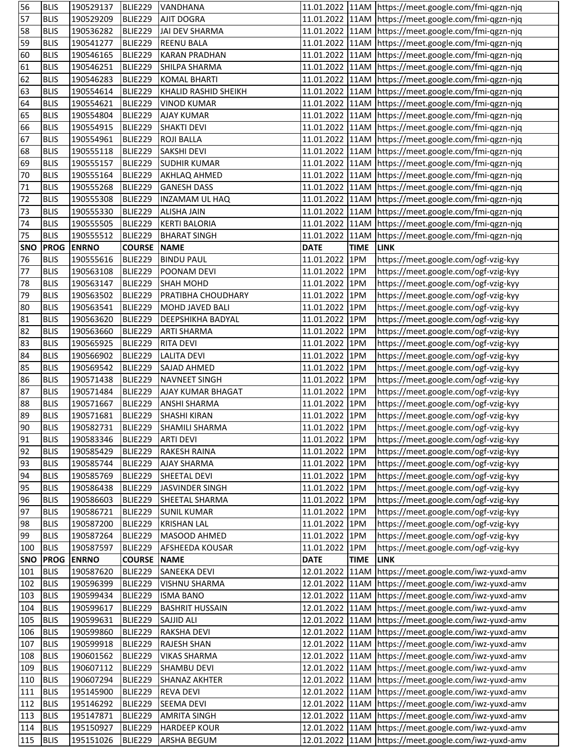| 56         | <b>BLIS</b> | 190529137    | BLIE229            | VANDHANA               |                 |             | 11.01.2022 11AM https://meet.google.com/fmi-qgzn-njq     |
|------------|-------------|--------------|--------------------|------------------------|-----------------|-------------|----------------------------------------------------------|
| 57         | <b>BLIS</b> | 190529209    | BLIE229            | <b>AJIT DOGRA</b>      |                 |             | 11.01.2022   11AM   https://meet.google.com/fmi-qgzn-njq |
| 58         | <b>BLIS</b> | 190536282    | BLIE229            | <b>JAI DEV SHARMA</b>  |                 |             | 11.01.2022 11AM https://meet.google.com/fmi-qgzn-njq     |
| 59         | <b>BLIS</b> | 190541277    | BLIE229            | <b>REENU BALA</b>      |                 |             | 11.01.2022 11AM https://meet.google.com/fmi-qgzn-njq     |
| 60         | <b>BLIS</b> | 190546165    | BLIE229            | <b>KARAN PRADHAN</b>   |                 |             | 11.01.2022 11AM https://meet.google.com/fmi-qgzn-njq     |
| 61         | <b>BLIS</b> | 190546251    | BLIE229            | SHILPA SHARMA          |                 |             | 11.01.2022 11AM https://meet.google.com/fmi-qgzn-njq     |
| 62         | <b>BLIS</b> | 190546283    | BLIE229            | <b>KOMAL BHARTI</b>    |                 |             | 11.01.2022 11AM https://meet.google.com/fmi-qgzn-njq     |
| 63         | <b>BLIS</b> | 190554614    | BLIE229            | KHALID RASHID SHEIKH   |                 |             | 11.01.2022 11AM https://meet.google.com/fmi-qgzn-njq     |
| 64         | <b>BLIS</b> | 190554621    | <b>BLIE229</b>     | <b>VINOD KUMAR</b>     |                 |             | 11.01.2022 11AM https://meet.google.com/fmi-qgzn-njq     |
| 65         | <b>BLIS</b> | 190554804    | BLIE229            | <b>AJAY KUMAR</b>      |                 |             | 11.01.2022 11AM https://meet.google.com/fmi-qgzn-njq     |
| 66         | <b>BLIS</b> | 190554915    | BLIE229            | <b>SHAKTI DEVI</b>     |                 |             | 11.01.2022   11AM   https://meet.google.com/fmi-qgzn-njq |
| 67         | <b>BLIS</b> | 190554961    | BLIE229            | <b>ROJI BALLA</b>      |                 |             | 11.01.2022 11AM https://meet.google.com/fmi-qgzn-njq     |
| 68         | <b>BLIS</b> | 190555118    | BLIE229            | <b>SAKSHI DEVI</b>     |                 |             | 11.01.2022 11AM https://meet.google.com/fmi-qgzn-njq     |
| 69         | <b>BLIS</b> | 190555157    | BLIE229            | <b>SUDHIR KUMAR</b>    |                 |             | 11.01.2022 11AM https://meet.google.com/fmi-qgzn-njq     |
| 70         | <b>BLIS</b> | 190555164    | BLIE229            | <b>AKHLAQ AHMED</b>    |                 |             | 11.01.2022 11AM https://meet.google.com/fmi-qgzn-njq     |
| 71         | <b>BLIS</b> | 190555268    | BLIE229            | <b>GANESH DASS</b>     |                 |             | 11.01.2022 11AM https://meet.google.com/fmi-qgzn-njq     |
| 72         | <b>BLIS</b> | 190555308    | BLIE229            | <b>INZAMAM UL HAQ</b>  |                 |             | 11.01.2022 11AM https://meet.google.com/fmi-qgzn-njq     |
| 73         | <b>BLIS</b> | 190555330    | <b>BLIE229</b>     | <b>ALISHA JAIN</b>     |                 |             | 11.01.2022 11AM https://meet.google.com/fmi-qgzn-njq     |
| 74         | <b>BLIS</b> | 190555505    | <b>BLIE229</b>     | <b>KERTI BALORIA</b>   |                 |             | 11.01.2022   11AM   https://meet.google.com/fmi-qgzn-njq |
| 75         | <b>BLIS</b> | 190555512    | BLIE229            | <b>BHARAT SINGH</b>    | 11.01.2022 11AM |             | https://meet.google.com/fmi-qgzn-njq                     |
| <b>SNO</b> | <b>PROG</b> | <b>ENRNO</b> | <b>COURSE NAME</b> |                        | <b>DATE</b>     | <b>TIME</b> | <b>LINK</b>                                              |
| 76         | <b>BLIS</b> | 190555616    | BLIE229            | <b>BINDU PAUL</b>      | 11.01.2022 1PM  |             | https://meet.google.com/ogf-vzig-kyy                     |
| 77         | <b>BLIS</b> | 190563108    | BLIE229            | POONAM DEVI            | 11.01.2022 1PM  |             | https://meet.google.com/ogf-vzig-kyy                     |
| 78         | <b>BLIS</b> | 190563147    | BLIE229            | <b>SHAH MOHD</b>       | 11.01.2022 1PM  |             | https://meet.google.com/ogf-vzig-kyy                     |
| 79         | <b>BLIS</b> | 190563502    | BLIE229            | PRATIBHA CHOUDHARY     | 11.01.2022 1PM  |             | https://meet.google.com/ogf-vzig-kyy                     |
| 80         | <b>BLIS</b> | 190563541    | <b>BLIE229</b>     | MOHD JAVED BALI        | 11.01.2022 1PM  |             | https://meet.google.com/ogf-vzig-kyy                     |
| 81         | <b>BLIS</b> | 190563620    | BLIE229            | DEEPSHIKHA BADYAL      | 11.01.2022 1PM  |             | https://meet.google.com/ogf-vzig-kyy                     |
| 82         | <b>BLIS</b> | 190563660    | BLIE229            | <b>ARTI SHARMA</b>     | 11.01.2022 1PM  |             | https://meet.google.com/ogf-vzig-kyy                     |
| 83         | <b>BLIS</b> | 190565925    | BLIE229            | <b>RITA DEVI</b>       | 11.01.2022 1PM  |             | https://meet.google.com/ogf-vzig-kyy                     |
| 84         | <b>BLIS</b> | 190566902    | BLIE229            | <b>LALITA DEVI</b>     | 11.01.2022 1PM  |             | https://meet.google.com/ogf-vzig-kyy                     |
| 85         | <b>BLIS</b> | 190569542    | BLIE229            | <b>SAJAD AHMED</b>     | 11.01.2022 1PM  |             | https://meet.google.com/ogf-vzig-kyy                     |
| 86         | <b>BLIS</b> | 190571438    | BLIE229            | <b>NAVNEET SINGH</b>   | 11.01.2022 1PM  |             | https://meet.google.com/ogf-vzig-kyy                     |
| 87         | <b>BLIS</b> | 190571484    | BLIE229            | AJAY KUMAR BHAGAT      | 11.01.2022 1PM  |             | https://meet.google.com/ogf-vzig-kyy                     |
| 88         | <b>BLIS</b> | 190571667    | <b>BLIE229</b>     | <b>ANSHI SHARMA</b>    | 11.01.2022 1PM  |             | https://meet.google.com/ogf-vzig-kyy                     |
| 89         | <b>BLIS</b> | 190571681    | <b>BLIE229</b>     | <b>SHASHI KIRAN</b>    | 11.01.2022 1PM  |             | https://meet.google.com/ogf-vzig-kyy                     |
| 90         | <b>BLIS</b> | 190582731    | BLIE229            | <b>SHAMILI SHARMA</b>  | 11.01.2022 1PM  |             | https://meet.google.com/ogf-vzig-kyy                     |
| 91         | <b>BLIS</b> | 190583346    | BLIE229            | <b>ARTI DEVI</b>       | 11.01.2022 1PM  |             | https://meet.google.com/ogf-vzig-kyy                     |
| 92         | <b>BLIS</b> | 190585429    | BLIE229            | <b>RAKESH RAINA</b>    | 11.01.2022 1PM  |             | https://meet.google.com/ogf-vzig-kyy                     |
| 93         | <b>BLIS</b> | 190585744    | BLIE229            | <b>AJAY SHARMA</b>     | 11.01.2022 1PM  |             | https://meet.google.com/ogf-vzig-kyy                     |
| 94         | <b>BLIS</b> | 190585769    | BLIE229            | SHEETAL DEVI           | 11.01.2022 1PM  |             | https://meet.google.com/ogf-vzig-kyy                     |
| 95         | <b>BLIS</b> | 190586438    | BLIE229            | JASVINDER SINGH        | 11.01.2022 1PM  |             | https://meet.google.com/ogf-vzig-kyy                     |
| 96         | <b>BLIS</b> | 190586603    | BLIE229            | SHEETAL SHARMA         | 11.01.2022 1PM  |             | https://meet.google.com/ogf-vzig-kyy                     |
| 97         | <b>BLIS</b> | 190586721    | <b>BLIE229</b>     | <b>SUNIL KUMAR</b>     | 11.01.2022 1PM  |             | https://meet.google.com/ogf-vzig-kyy                     |
| 98         | <b>BLIS</b> | 190587200    | BLIE229            | <b>KRISHAN LAL</b>     | 11.01.2022 1PM  |             | https://meet.google.com/ogf-vzig-kyy                     |
| 99         | <b>BLIS</b> | 190587264    | BLIE229            | MASOOD AHMED           | 11.01.2022 1PM  |             | https://meet.google.com/ogf-vzig-kyy                     |
| 100        | <b>BLIS</b> | 190587597    | <b>BLIE229</b>     | AFSHEEDA KOUSAR        | 11.01.2022 1PM  |             | https://meet.google.com/ogf-vzig-kyy                     |
| <b>SNO</b> | <b>PROG</b> | <b>ENRNO</b> | <b>COURSE NAME</b> |                        | <b>DATE</b>     | <b>TIME</b> | <b>LINK</b>                                              |
| 101        | <b>BLIS</b> | 190587620    | BLIE229            | SANEEKA DEVI           |                 |             | 12.01.2022 11AM https://meet.google.com/iwz-yuxd-amv     |
| 102        | <b>BLIS</b> | 190596399    | BLIE229            | <b>VISHNU SHARMA</b>   | 12.01.2022 11AM |             | https://meet.google.com/iwz-yuxd-amv                     |
| 103        | <b>BLIS</b> | 190599434    | BLIE229            | <b>ISMA BANO</b>       |                 |             | 12.01.2022 11AM https://meet.google.com/iwz-yuxd-amv     |
| 104        | <b>BLIS</b> | 190599617    | <b>BLIE229</b>     | <b>BASHRIT HUSSAIN</b> | 12.01.2022 11AM |             | https://meet.google.com/iwz-yuxd-amv                     |
| 105        | <b>BLIS</b> | 190599631    | <b>BLIE229</b>     | SAJJID ALI             |                 |             | 12.01.2022 11AM https://meet.google.com/iwz-yuxd-amv     |
| 106        | <b>BLIS</b> | 190599860    | BLIE229            | RAKSHA DEVI            | 12.01.2022 11AM |             | https://meet.google.com/iwz-yuxd-amv                     |
| 107        | <b>BLIS</b> | 190599918    | BLIE229            | <b>RAJESH SHAN</b>     |                 |             | 12.01.2022 11AM https://meet.google.com/iwz-yuxd-amv     |
| 108        | <b>BLIS</b> | 190601562    | <b>BLIE229</b>     | <b>VIKAS SHARMA</b>    |                 |             | 12.01.2022 11AM https://meet.google.com/iwz-yuxd-amv     |
| 109        | <b>BLIS</b> | 190607112    | BLIE229            | <b>SHAMBU DEVI</b>     |                 |             | 12.01.2022 11AM https://meet.google.com/iwz-yuxd-amv     |
| 110        | <b>BLIS</b> | 190607294    | BLIE229            | <b>SHANAZ AKHTER</b>   |                 |             | 12.01.2022 11AM https://meet.google.com/iwz-yuxd-amv     |
| 111        | <b>BLIS</b> | 195145900    | BLIE229            | <b>REVA DEVI</b>       |                 |             | 12.01.2022 11AM https://meet.google.com/iwz-yuxd-amv     |
| 112        | <b>BLIS</b> | 195146292    | BLIE229            | <b>SEEMA DEVI</b>      |                 |             | 12.01.2022 11AM https://meet.google.com/iwz-yuxd-amv     |
| 113        | <b>BLIS</b> | 195147871    | <b>BLIE229</b>     | <b>AMRITA SINGH</b>    |                 |             | 12.01.2022 11AM https://meet.google.com/iwz-yuxd-amv     |
| 114        | <b>BLIS</b> | 195150927    | BLIE229            | <b>HARDEEP KOUR</b>    |                 |             | 12.01.2022 11AM https://meet.google.com/iwz-yuxd-amv     |
| 115        | <b>BLIS</b> | 195151026    | BLIE229            | ARSHA BEGUM            |                 |             | 12.01.2022 11AM https://meet.google.com/iwz-yuxd-amv     |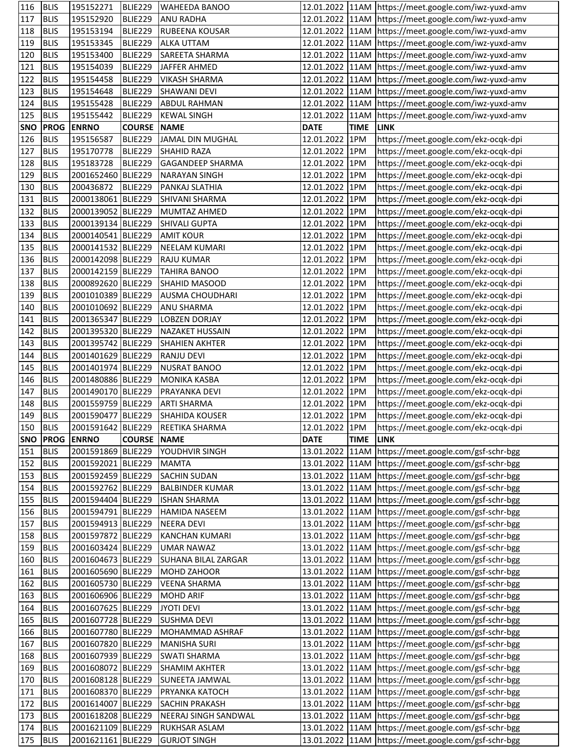| 116        | <b>BLIS</b> | 195152271          | BLIE229            | <b>WAHEEDA BANOO</b>              |                 |             | 12.01.2022 11AM https://meet.google.com/iwz-yuxd-amv     |
|------------|-------------|--------------------|--------------------|-----------------------------------|-----------------|-------------|----------------------------------------------------------|
| 117        | <b>BLIS</b> | 195152920          | BLIE229            | <b>ANU RADHA</b>                  |                 |             | 12.01.2022 11AM https://meet.google.com/iwz-yuxd-amv     |
| 118        | <b>BLIS</b> | 195153194          | BLIE229            | <b>RUBEENA KOUSAR</b>             |                 |             | 12.01.2022 11AM https://meet.google.com/iwz-yuxd-amv     |
| 119        | <b>BLIS</b> | 195153345          | BLIE229            | <b>ALKA UTTAM</b>                 |                 |             | 12.01.2022 11AM https://meet.google.com/iwz-yuxd-amv     |
| 120        | <b>BLIS</b> | 195153400          | BLIE229            | SAREETA SHARMA                    |                 |             | 12.01.2022 11AM https://meet.google.com/iwz-yuxd-amv     |
| 121        | <b>BLIS</b> | 195154039          | BLIE229            | JAFFER AHMED                      |                 |             | 12.01.2022 11AM https://meet.google.com/iwz-yuxd-amv     |
| 122        | <b>BLIS</b> | 195154458          | BLIE229            | <b>VIKASH SHARMA</b>              |                 |             | 12.01.2022   11AM   https://meet.google.com/iwz-yuxd-amv |
| 123        | <b>BLIS</b> | 195154648          | BLIE229            | <b>SHAWANI DEVI</b>               |                 |             | 12.01.2022 11AM https://meet.google.com/iwz-yuxd-amv     |
| 124        | <b>BLIS</b> | 195155428          | BLIE229            | <b>ABDUL RAHMAN</b>               |                 |             | 12.01.2022 11AM https://meet.google.com/iwz-yuxd-amv     |
| 125        | <b>BLIS</b> | 195155442          | <b>BLIE229</b>     | <b>KEWAL SINGH</b>                | 12.01.2022 11AM |             | https://meet.google.com/iwz-yuxd-amv                     |
| <b>SNO</b> | <b>PROG</b> | <b>ENRNO</b>       | <b>COURSE</b>      | <b>NAME</b>                       | <b>DATE</b>     | <b>TIME</b> | <b>LINK</b>                                              |
| 126        | <b>BLIS</b> | 195156587          | BLIE229            | JAMAL DIN MUGHAL                  | 12.01.2022 1PM  |             | https://meet.google.com/ekz-ocqk-dpi                     |
| 127        | <b>BLIS</b> | 195170778          | BLIE229            | <b>SHAHID RAZA</b>                | 12.01.2022 1PM  |             | https://meet.google.com/ekz-ocqk-dpi                     |
| 128        | <b>BLIS</b> | 195183728          | BLIE229            | <b>GAGANDEEP SHARMA</b>           | 12.01.2022 1PM  |             | https://meet.google.com/ekz-ocqk-dpi                     |
| 129        | <b>BLIS</b> | 2001652460 BLIE229 |                    | <b>NARAYAN SINGH</b>              | 12.01.2022 1PM  |             | https://meet.google.com/ekz-ocqk-dpi                     |
| 130        | <b>BLIS</b> | 200436872          | BLIE229            | PANKAJ SLATHIA                    | 12.01.2022 1PM  |             | https://meet.google.com/ekz-ocqk-dpi                     |
| 131        | <b>BLIS</b> | 2000138061 BLIE229 |                    | SHIVANI SHARMA                    | 12.01.2022 1PM  |             | https://meet.google.com/ekz-ocqk-dpi                     |
| 132        | <b>BLIS</b> | 2000139052 BLIE229 |                    | MUMTAZ AHMED                      | 12.01.2022 1PM  |             | https://meet.google.com/ekz-ocqk-dpi                     |
| 133        | <b>BLIS</b> | 2000139134 BLIE229 |                    | <b>SHIVALI GUPTA</b>              | 12.01.2022 1PM  |             | https://meet.google.com/ekz-ocqk-dpi                     |
| 134        | <b>BLIS</b> | 2000140541 BLIE229 |                    | <b>AMIT KOUR</b>                  | 12.01.2022 1PM  |             | https://meet.google.com/ekz-ocqk-dpi                     |
| 135        | <b>BLIS</b> | 2000141532 BLIE229 |                    | <b>NEELAM KUMARI</b>              | 12.01.2022 1PM  |             | https://meet.google.com/ekz-ocqk-dpi                     |
| 136        | <b>BLIS</b> | 2000142098 BLIE229 |                    | <b>RAJU KUMAR</b>                 | 12.01.2022 1PM  |             | https://meet.google.com/ekz-ocqk-dpi                     |
| 137        | <b>BLIS</b> | 2000142159 BLIE229 |                    | <b>TAHIRA BANOO</b>               | 12.01.2022 1PM  |             | https://meet.google.com/ekz-ocqk-dpi                     |
| 138        | <b>BLIS</b> | 2000892620 BLIE229 |                    | SHAHID MASOOD                     | 12.01.2022 1PM  |             | https://meet.google.com/ekz-ocqk-dpi                     |
| 139        | <b>BLIS</b> | 2001010389 BLIE229 |                    | <b>AUSMA CHOUDHARI</b>            | 12.01.2022 1PM  |             | https://meet.google.com/ekz-ocqk-dpi                     |
| 140        | <b>BLIS</b> | 2001010692 BLIE229 |                    | <b>ANU SHARMA</b>                 | 12.01.2022 1PM  |             | https://meet.google.com/ekz-ocqk-dpi                     |
| 141        | <b>BLIS</b> | 2001365347 BLIE229 |                    | <b>LOBZEN DORJAY</b>              | 12.01.2022 1PM  |             | https://meet.google.com/ekz-ocqk-dpi                     |
| 142        | <b>BLIS</b> | 2001395320 BLIE229 |                    | NAZAKET HUSSAIN                   | 12.01.2022 1PM  |             | https://meet.google.com/ekz-ocqk-dpi                     |
| 143        | <b>BLIS</b> | 2001395742 BLIE229 |                    | <b>SHAHIEN AKHTER</b>             | 12.01.2022 1PM  |             | https://meet.google.com/ekz-ocqk-dpi                     |
| 144        | <b>BLIS</b> | 2001401629 BLIE229 |                    | <b>RANJU DEVI</b>                 | 12.01.2022 1PM  |             | https://meet.google.com/ekz-ocqk-dpi                     |
| 145        | <b>BLIS</b> | 2001401974 BLIE229 |                    | <b>NUSRAT BANOO</b>               | 12.01.2022 1PM  |             | https://meet.google.com/ekz-ocqk-dpi                     |
| 146        | <b>BLIS</b> | 2001480886 BLIE229 |                    | <b>MONIKA KASBA</b>               | 12.01.2022 1PM  |             | https://meet.google.com/ekz-ocqk-dpi                     |
| 147        | <b>BLIS</b> | 2001490170 BLIE229 |                    | PRAYANKA DEVI                     | 12.01.2022 1PM  |             | https://meet.google.com/ekz-ocqk-dpi                     |
| 148        | <b>BLIS</b> | 2001559759 BLIE229 |                    | <b>ARTI SHARMA</b>                | 12.01.2022 1PM  |             | https://meet.google.com/ekz-ocqk-dpi                     |
| 149        | <b>BLIS</b> | 2001590477 BLIE229 |                    | <b>SHAHIDA KOUSER</b>             | 12.01.2022 1PM  |             | https://meet.google.com/ekz-ocqk-dpi                     |
| 150        | <b>BLIS</b> |                    |                    | 2001591642 BLIE229 REETIKA SHARMA | 12.01.2022 1PM  |             | https://meet.google.com/ekz-ocqk-dpi                     |
|            |             | SNO PROG ENRNO     | <b>COURSE NAME</b> |                                   | <b>DATE</b>     | TIME LINK   |                                                          |
| 151        | <b>BLIS</b> | 2001591869 BLIE229 |                    | YOUDHVIR SINGH                    |                 |             | 13.01.2022 11AM https://meet.google.com/gsf-schr-bgg     |
| 152        | <b>BLIS</b> | 2001592021 BLIE229 |                    | <b>MAMTA</b>                      |                 |             | 13.01.2022 11AM https://meet.google.com/gsf-schr-bgg     |
| 153        | <b>BLIS</b> | 2001592459 BLIE229 |                    | <b>SACHIN SUDAN</b>               |                 |             | 13.01.2022 11AM https://meet.google.com/gsf-schr-bgg     |
| 154        | <b>BLIS</b> | 2001592762 BLIE229 |                    | <b>BALBINDER KUMAR</b>            |                 |             | 13.01.2022 11AM https://meet.google.com/gsf-schr-bgg     |
| 155        | <b>BLIS</b> | 2001594404 BLIE229 |                    | <b>ISHAN SHARMA</b>               |                 |             | 13.01.2022 11AM https://meet.google.com/gsf-schr-bgg     |
| 156        | <b>BLIS</b> | 2001594791 BLIE229 |                    | <b>HAMIDA NASEEM</b>              |                 |             | 13.01.2022 11AM https://meet.google.com/gsf-schr-bgg     |
| 157        | <b>BLIS</b> | 2001594913 BLIE229 |                    | <b>NEERA DEVI</b>                 |                 |             | 13.01.2022   11AM   https://meet.google.com/gsf-schr-bgg |
| 158        | <b>BLIS</b> | 2001597872 BLIE229 |                    | <b>KANCHAN KUMARI</b>             |                 |             | 13.01.2022 11AM https://meet.google.com/gsf-schr-bgg     |
| 159        | <b>BLIS</b> | 2001603424 BLIE229 |                    | <b>UMAR NAWAZ</b>                 |                 |             | 13.01.2022   11AM   https://meet.google.com/gsf-schr-bgg |
| 160        | <b>BLIS</b> | 2001604673 BLIE229 |                    | SUHANA BILAL ZARGAR               |                 |             | 13.01.2022 11AM https://meet.google.com/gsf-schr-bgg     |
| 161        | <b>BLIS</b> | 2001605690 BLIE229 |                    | <b>MOHD ZAHOOR</b>                |                 |             | 13.01.2022   11AM   https://meet.google.com/gsf-schr-bgg |
| 162        | <b>BLIS</b> | 2001605730 BLIE229 |                    | <b>VEENA SHARMA</b>               |                 |             | 13.01.2022 11AM https://meet.google.com/gsf-schr-bgg     |
| 163        | <b>BLIS</b> | 2001606906 BLIE229 |                    | <b>MOHD ARIF</b>                  |                 |             | 13.01.2022   11AM   https://meet.google.com/gsf-schr-bgg |
| 164        | <b>BLIS</b> | 2001607625 BLIE229 |                    | <b>JYOTI DEVI</b>                 |                 |             | 13.01.2022 11AM https://meet.google.com/gsf-schr-bgg     |
| 165        | <b>BLIS</b> | 2001607728 BLIE229 |                    | <b>SUSHMA DEVI</b>                |                 |             | 13.01.2022 11AM https://meet.google.com/gsf-schr-bgg     |
| 166        | <b>BLIS</b> | 2001607780 BLIE229 |                    | MOHAMMAD ASHRAF                   |                 |             | 13.01.2022 11AM https://meet.google.com/gsf-schr-bgg     |
| 167        | <b>BLIS</b> | 2001607820 BLIE229 |                    | <b>MANISHA SURI</b>               |                 |             | 13.01.2022 11AM https://meet.google.com/gsf-schr-bgg     |
| 168        | <b>BLIS</b> | 2001607939 BLIE229 |                    | <b>SWATI SHARMA</b>               |                 |             | 13.01.2022 11AM https://meet.google.com/gsf-schr-bgg     |
| 169        | <b>BLIS</b> | 2001608072 BLIE229 |                    | <b>SHAMIM AKHTER</b>              |                 |             | 13.01.2022   11AM   https://meet.google.com/gsf-schr-bgg |
| 170        | <b>BLIS</b> | 2001608128 BLIE229 |                    | <b>SUNEETA JAMWAL</b>             |                 |             | 13.01.2022 11AM https://meet.google.com/gsf-schr-bgg     |
| 171        | <b>BLIS</b> | 2001608370 BLIE229 |                    | PRYANKA KATOCH                    |                 |             | 13.01.2022 11AM https://meet.google.com/gsf-schr-bgg     |
| 172        | <b>BLIS</b> | 2001614007 BLIE229 |                    | <b>SACHIN PRAKASH</b>             |                 |             | 13.01.2022 11AM https://meet.google.com/gsf-schr-bgg     |
| 173        | <b>BLIS</b> | 2001618208 BLIE229 |                    | NEERAJ SINGH SANDWAL              |                 |             | 13.01.2022   11AM   https://meet.google.com/gsf-schr-bgg |
| 174        | <b>BLIS</b> | 2001621109 BLIE229 |                    | RUKHSAR ASLAM                     |                 |             | 13.01.2022 11AM https://meet.google.com/gsf-schr-bgg     |
| 175        | <b>BLIS</b> | 2001621161 BLIE229 |                    | <b>GURJOT SINGH</b>               |                 |             | 13.01.2022 11AM https://meet.google.com/gsf-schr-bgg     |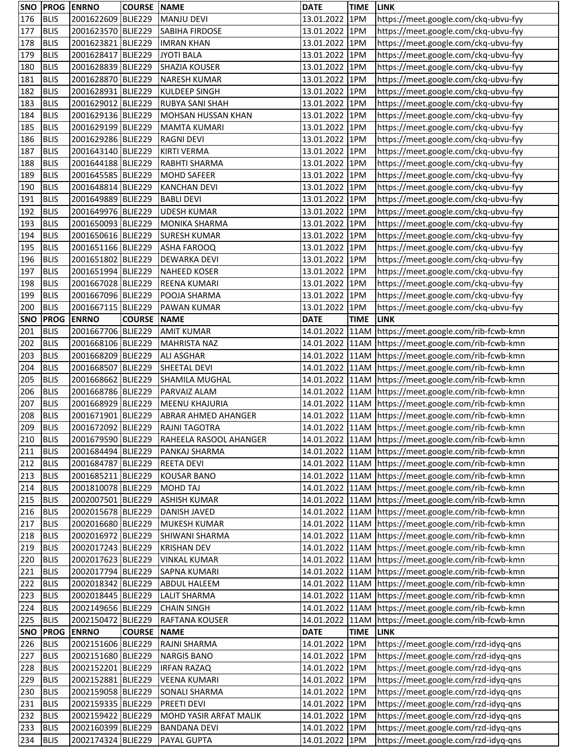| 176<br><b>BLIS</b><br>2001622609 BLIE229<br><b>MANJU DEVI</b><br>13.01.2022<br>1PM<br>https://meet.google.com/ckq-ubvu-fyy<br><b>BLIS</b><br>177<br>2001623570 BLIE229<br>1PM<br>SABIHA FIRDOSE<br>13.01.2022<br>https://meet.google.com/ckq-ubvu-fyy<br>178<br><b>BLIS</b><br>2001623821 BLIE229<br>13.01.2022<br>1PM<br>https://meet.google.com/ckq-ubvu-fyy<br><b>IMRAN KHAN</b><br>179<br>2001628417 BLIE229<br><b>JYOTI BALA</b><br>13.01.2022<br>https://meet.google.com/ckq-ubvu-fyy<br><b>BLIS</b><br>1PM<br>2001628839 BLIE229<br><b>BLIS</b><br><b>SHAZIA KOUSER</b><br>13.01.2022 1PM<br>180<br>https://meet.google.com/ckq-ubvu-fyy<br>181<br><b>BLIS</b><br>2001628870 BLIE229<br><b>NARESH KUMAR</b><br>13.01.2022 1PM<br>https://meet.google.com/ckq-ubvu-fyy<br><b>BLIS</b><br>2001628931 BLIE229<br>13.01.2022 1PM<br>182<br><b>KULDEEP SINGH</b><br>https://meet.google.com/ckq-ubvu-fyy<br>183<br><b>BLIS</b><br>2001629012 BLIE229<br>RUBYA SANI SHAH<br>13.01.2022<br>1PM<br>https://meet.google.com/ckq-ubvu-fyy<br>184<br><b>BLIS</b><br>2001629136 BLIE229<br>MOHSAN HUSSAN KHAN<br>13.01.2022<br>1PM<br>https://meet.google.com/ckq-ubvu-fyy<br>185<br><b>BLIS</b><br>2001629199 BLIE229<br>MAMTA KUMARI<br>13.01.2022<br>1PM<br>https://meet.google.com/ckq-ubvu-fyy<br>2001629286 BLIE229<br>186<br><b>BLIS</b><br>13.01.2022<br>1PM<br><b>RAGNI DEVI</b><br>https://meet.google.com/ckq-ubvu-fyy<br><b>BLIS</b><br>2001643140 BLIE229<br>13.01.2022<br>1PM<br>187<br><b>KIRTI VERMA</b><br>https://meet.google.com/ckq-ubvu-fyy<br><b>BLIS</b><br>2001644188 BLIE229<br>188<br>RABHTI SHARMA<br>13.01.2022<br>1PM<br>https://meet.google.com/ckq-ubvu-fyy<br><b>BLIS</b><br>2001645585 BLIE229<br>13.01.2022 1PM<br>189<br><b>MOHD SAFEER</b><br>https://meet.google.com/ckq-ubvu-fyy<br><b>BLIS</b><br>2001648814 BLIE229<br>13.01.2022 1PM<br>190<br><b>KANCHAN DEVI</b><br>https://meet.google.com/ckq-ubvu-fyy<br>191<br><b>BLIS</b><br>2001649889 BLIE229<br>13.01.2022<br>1PM<br><b>BABLI DEVI</b><br>https://meet.google.com/ckq-ubvu-fyy<br><b>BLIS</b><br>1PM<br>192<br>2001649976 BLIE229<br><b>UDESH KUMAR</b><br>13.01.2022<br>https://meet.google.com/ckq-ubvu-fyy<br><b>BLIS</b><br>193<br>2001650093 BLIE229<br>13.01.2022 1PM<br>https://meet.google.com/ckq-ubvu-fyy<br>MONIKA SHARMA<br><b>BLIS</b><br>2001650616 BLIE229<br>13.01.2022<br>1PM<br>194<br><b>SURESH KUMAR</b><br>https://meet.google.com/ckq-ubvu-fyy<br>195<br><b>BLIS</b><br>2001651166 BLIE229<br>13.01.2022<br>https://meet.google.com/ckq-ubvu-fyy<br>ASHA FAROOQ<br>1PM<br>196<br>2001651802 BLIE229<br><b>BLIS</b><br><b>DEWARKA DEVI</b><br>13.01.2022<br>1PM<br>https://meet.google.com/ckq-ubvu-fyy<br>197<br><b>BLIS</b><br>2001651994 BLIE229<br>13.01.2022 1PM<br>https://meet.google.com/ckq-ubvu-fyy<br><b>NAHEED KOSER</b><br><b>BLIS</b><br>2001667028 BLIE229<br>13.01.2022 1PM<br>198<br>REENA KUMARI<br>https://meet.google.com/ckq-ubvu-fyy<br>199<br><b>BLIS</b><br>13.01.2022 1PM<br>2001667096 BLIE229<br>POOJA SHARMA<br>https://meet.google.com/ckq-ubvu-fyy<br><b>BLIS</b><br>2001667115 BLIE229<br>200<br>13.01.2022<br>1PM<br>https://meet.google.com/ckq-ubvu-fyy<br>PAWAN KUMAR<br><b>SNO</b><br><b>PROG</b><br><b>ENRNO</b><br><b>COURSE</b><br><b>TIME</b><br><b>LINK</b><br><b>NAME</b><br><b>DATE</b><br>201<br><b>BLIS</b><br>2001667706 BLIE229<br><b>AMIT KUMAR</b><br>14.01.2022<br>11AM https://meet.google.com/rib-fcwb-kmn<br>202<br><b>BLIS</b><br>2001668106 BLIE229<br>14.01.2022 11AM https://meet.google.com/rib-fcwb-kmn<br><b>MAHRISTA NAZ</b><br>203<br>2001668209 BLIE229<br><b>BLIS</b><br><b>ALI ASGHAR</b><br>14.01.2022 11AM https://meet.google.com/rib-fcwb-kmn<br>2001668507 BLIE229<br>204<br><b>BLIS</b><br>SHEETAL DEVI<br>14.01.2022 11AM https://meet.google.com/rib-fcwb-kmn<br><b>BLIS</b><br>205<br>2001668662 BLIE229<br>SHAMILA MUGHAL<br>14.01.2022 11AM https://meet.google.com/rib-fcwb-kmn<br><b>BLIS</b><br>2001668786 BLIE229<br>206<br>PARVAIZ ALAM<br>14.01.2022 11AM https://meet.google.com/rib-fcwb-kmn<br>207<br><b>BLIS</b><br>11AM https://meet.google.com/rib-fcwb-kmn<br>2001668929 BLIE229<br><b>MEENU KHAJURIA</b><br>14.01.2022<br>14.01.2022 11AM https://meet.google.com/rib-fcwb-kmn<br>208<br><b>BLIS</b><br>2001671901 BLIE229<br>ABRAR AHMED AHANGER<br>209<br>BLIS<br>2001672092 BLIE229<br><b>RAJNI TAGOTRA</b><br>14.01.2022 11AM https://meet.google.com/rib-fcwb-kmn<br>2001679590 BLIE229<br>14.01.2022 11AM https://meet.google.com/rib-fcwb-kmn<br>210<br><b>BLIS</b><br>RAHEELA RASOOL AHANGER<br>211<br>2001684494 BLIE229<br>14.01.2022 11AM https://meet.google.com/rib-fcwb-kmn<br><b>BLIS</b><br>PANKAJ SHARMA<br><b>BLIS</b><br>2001684787 BLIE229<br>14.01.2022 11AM https://meet.google.com/rib-fcwb-kmn<br>212<br><b>REETA DEVI</b><br>213<br><b>BLIS</b><br>14.01.2022 11AM https://meet.google.com/rib-fcwb-kmn<br>2001685211 BLIE229<br><b>KOUSAR BANO</b><br>214<br><b>BLIS</b><br>2001810078 BLIE229<br>14.01.2022 11AM https://meet.google.com/rib-fcwb-kmn<br>MOHD TAJ<br>14.01.2022 11AM https://meet.google.com/rib-fcwb-kmn<br>215<br><b>BLIS</b><br>2002007501 BLIE229<br><b>ASHISH KUMAR</b><br><b>BLIS</b><br>14.01.2022 11AM https://meet.google.com/rib-fcwb-kmn<br>2002015678 BLIE229<br><b>DANISH JAVED</b><br>216<br>14.01.2022 11AM https://meet.google.com/rib-fcwb-kmn<br>217<br><b>BLIS</b><br>2002016680 BLIE229<br>MUKESH KUMAR<br>218<br><b>BLIS</b><br>2002016972 BLIE229<br>14.01.2022 11AM https://meet.google.com/rib-fcwb-kmn<br>SHIWANI SHARMA<br>219<br><b>BLIS</b><br>2002017243 BLIE229<br>14.01.2022 11AM https://meet.google.com/rib-fcwb-kmn<br><b>KRISHAN DEV</b><br>2002017623 BLIE229<br>14.01.2022 11AM https://meet.google.com/rib-fcwb-kmn<br>220<br><b>BLIS</b><br><b>VINKAL KUMAR</b><br>221<br><b>BLIS</b><br>14.01.2022 11AM https://meet.google.com/rib-fcwb-kmn<br>2002017794 BLIE229<br>SAPNA KUMARI<br>222<br><b>BLIS</b><br>2002018342 BLIE229<br>14.01.2022 11AM https://meet.google.com/rib-fcwb-kmn<br><b>ABDUL HALEEM</b><br>223<br>2002018445 BLIE229<br>14.01.2022 11AM https://meet.google.com/rib-fcwb-kmn<br><b>BLIS</b><br><b>LALIT SHARMA</b><br>14.01.2022 11AM https://meet.google.com/rib-fcwb-kmn<br>224<br><b>BLIS</b><br>2002149656 BLIE229<br><b>CHAIN SINGH</b><br>14.01.2022 11AM https://meet.google.com/rib-fcwb-kmn<br>225<br><b>BLIS</b><br>2002150472 BLIE229<br>RAFTANA KOUSER<br><b>SNO</b><br><b>PROG</b><br><b>ENRNO</b><br><b>COURSE</b><br><b>TIME</b><br><b>LINK</b><br><b>NAME</b><br><b>DATE</b><br>226<br>2002151606 BLIE229<br>https://meet.google.com/rzd-idyq-qns<br><b>BLIS</b><br>RAJNI SHARMA<br>14.01.2022<br>1PM<br>227<br>2002151680 BLIE229<br>14.01.2022 1PM<br>https://meet.google.com/rzd-idyq-qns<br><b>BLIS</b><br><b>NARGIS BANO</b><br>228<br><b>BLIS</b><br>2002152201 BLIE229<br>14.01.2022 1PM<br><b>IRFAN RAZAQ</b><br>https://meet.google.com/rzd-idyq-qns<br><b>BLIS</b><br>https://meet.google.com/rzd-idyq-qns<br>229<br>2002152881 BLIE229<br><b>VEENA KUMARI</b><br>14.01.2022 1PM<br><b>BLIS</b><br>2002159058 BLIE229<br>14.01.2022 1PM<br>https://meet.google.com/rzd-idyq-qns<br>230<br><b>SONALI SHARMA</b><br>231<br>https://meet.google.com/rzd-idyq-qns<br><b>BLIS</b><br>2002159335 BLIE229<br>PREETI DEVI<br>14.01.2022 1PM<br><b>BLIS</b><br>https://meet.google.com/rzd-idyq-qns<br>232<br>2002159422 BLIE229<br>MOHD YASIR ARFAT MALIK<br>14.01.2022 1PM<br><b>BLIS</b><br>233<br>2002160399 BLIE229<br><b>BANDANA DEVI</b><br>14.01.2022 1PM<br>https://meet.google.com/rzd-idyq-qns<br><b>BLIS</b><br>2002174324 BLIE229<br>14.01.2022 1PM | <b>SNO</b> | <b>PROG</b> | <b>ENRNO</b> | <b>COURSE</b> | <b>NAME</b> | <b>DATE</b> | <b>TIME</b> | <b>LINK</b>                          |
|---------------------------------------------------------------------------------------------------------------------------------------------------------------------------------------------------------------------------------------------------------------------------------------------------------------------------------------------------------------------------------------------------------------------------------------------------------------------------------------------------------------------------------------------------------------------------------------------------------------------------------------------------------------------------------------------------------------------------------------------------------------------------------------------------------------------------------------------------------------------------------------------------------------------------------------------------------------------------------------------------------------------------------------------------------------------------------------------------------------------------------------------------------------------------------------------------------------------------------------------------------------------------------------------------------------------------------------------------------------------------------------------------------------------------------------------------------------------------------------------------------------------------------------------------------------------------------------------------------------------------------------------------------------------------------------------------------------------------------------------------------------------------------------------------------------------------------------------------------------------------------------------------------------------------------------------------------------------------------------------------------------------------------------------------------------------------------------------------------------------------------------------------------------------------------------------------------------------------------------------------------------------------------------------------------------------------------------------------------------------------------------------------------------------------------------------------------------------------------------------------------------------------------------------------------------------------------------------------------------------------------------------------------------------------------------------------------------------------------------------------------------------------------------------------------------------------------------------------------------------------------------------------------------------------------------------------------------------------------------------------------------------------------------------------------------------------------------------------------------------------------------------------------------------------------------------------------------------------------------------------------------------------------------------------------------------------------------------------------------------------------------------------------------------------------------------------------------------------------------------------------------------------------------------------------------------------------------------------------------------------------------------------------------------------------------------------------------------------------------------------------------------------------------------------------------------------------------------------------------------------------------------------------------------------------------------------------------------------------------------------------------------------------------------------------------------------------------------------------------------------------------------------------------------------------------------------------------------------------------------------------------------------------------------------------------------------------------------------------------------------------------------------------------------------------------------------------------------------------------------------------------------------------------------------------------------------------------------------------------------------------------------------------------------------------------------------------------------------------------------------------------------------------------------------------------------------------------------------------------------------------------------------------------------------------------------------------------------------------------------------------------------------------------------------------------------------------------------------------------------------------------------------------------------------------------------------------------------------------------------------------------------------------------------------------------------------------------------------------------------------------------------------------------------------------------------------------------------------------------------------------------------------------------------------------------------------------------------------------------------------------------------------------------------------------------------------------------------------------------------------------------------------------------------------------------------------------------------------------------------------------------------------------------------------------------------------------------------------------------------------------------------------------------------------------------------------------------------------------------------------------------------------------------------------------------------------------------------------------------------------------------------------------------------------------------------------------------------------------------------------------------------------------------------------------------------------------------------------------------------------------------------------------------------------------------------------------------------------------------------------------------------------------------------------------------------------------------------------------------------------------------------------------------------------------------------------------------------------------------------------------------------------------------------------------------------------------------------------------------------------------------------------------------------------------------------------------------------------------------------------------------------------------------------------------------------------------------------------------------------------------------------------------------------------------------------------------------------------------------------------------------------------------------------------------------------------------------------------------------------------------------------------------------------------------------------------------------------------------------------------------------------------------------------------------------------------------|------------|-------------|--------------|---------------|-------------|-------------|-------------|--------------------------------------|
|                                                                                                                                                                                                                                                                                                                                                                                                                                                                                                                                                                                                                                                                                                                                                                                                                                                                                                                                                                                                                                                                                                                                                                                                                                                                                                                                                                                                                                                                                                                                                                                                                                                                                                                                                                                                                                                                                                                                                                                                                                                                                                                                                                                                                                                                                                                                                                                                                                                                                                                                                                                                                                                                                                                                                                                                                                                                                                                                                                                                                                                                                                                                                                                                                                                                                                                                                                                                                                                                                                                                                                                                                                                                                                                                                                                                                                                                                                                                                                                                                                                                                                                                                                                                                                                                                                                                                                                                                                                                                                                                                                                                                                                                                                                                                                                                                                                                                                                                                                                                                                                                                                                                                                                                                                                                                                                                                                                                                                                                                                                                                                                                                                                                                                                                                                                                                                                                                                                                                                                                                                                                                                                                                                                                                                                                                                                                                                                                                                                                                                                                                                                                                                                                                                                                                                                                                                                                                                                                                                                                                                                                                                                                                                                                                                                                                                                                                                                                                                                                                                                                                                                                                                                                                                         |            |             |              |               |             |             |             |                                      |
|                                                                                                                                                                                                                                                                                                                                                                                                                                                                                                                                                                                                                                                                                                                                                                                                                                                                                                                                                                                                                                                                                                                                                                                                                                                                                                                                                                                                                                                                                                                                                                                                                                                                                                                                                                                                                                                                                                                                                                                                                                                                                                                                                                                                                                                                                                                                                                                                                                                                                                                                                                                                                                                                                                                                                                                                                                                                                                                                                                                                                                                                                                                                                                                                                                                                                                                                                                                                                                                                                                                                                                                                                                                                                                                                                                                                                                                                                                                                                                                                                                                                                                                                                                                                                                                                                                                                                                                                                                                                                                                                                                                                                                                                                                                                                                                                                                                                                                                                                                                                                                                                                                                                                                                                                                                                                                                                                                                                                                                                                                                                                                                                                                                                                                                                                                                                                                                                                                                                                                                                                                                                                                                                                                                                                                                                                                                                                                                                                                                                                                                                                                                                                                                                                                                                                                                                                                                                                                                                                                                                                                                                                                                                                                                                                                                                                                                                                                                                                                                                                                                                                                                                                                                                                                         |            |             |              |               |             |             |             |                                      |
|                                                                                                                                                                                                                                                                                                                                                                                                                                                                                                                                                                                                                                                                                                                                                                                                                                                                                                                                                                                                                                                                                                                                                                                                                                                                                                                                                                                                                                                                                                                                                                                                                                                                                                                                                                                                                                                                                                                                                                                                                                                                                                                                                                                                                                                                                                                                                                                                                                                                                                                                                                                                                                                                                                                                                                                                                                                                                                                                                                                                                                                                                                                                                                                                                                                                                                                                                                                                                                                                                                                                                                                                                                                                                                                                                                                                                                                                                                                                                                                                                                                                                                                                                                                                                                                                                                                                                                                                                                                                                                                                                                                                                                                                                                                                                                                                                                                                                                                                                                                                                                                                                                                                                                                                                                                                                                                                                                                                                                                                                                                                                                                                                                                                                                                                                                                                                                                                                                                                                                                                                                                                                                                                                                                                                                                                                                                                                                                                                                                                                                                                                                                                                                                                                                                                                                                                                                                                                                                                                                                                                                                                                                                                                                                                                                                                                                                                                                                                                                                                                                                                                                                                                                                                                                         |            |             |              |               |             |             |             |                                      |
|                                                                                                                                                                                                                                                                                                                                                                                                                                                                                                                                                                                                                                                                                                                                                                                                                                                                                                                                                                                                                                                                                                                                                                                                                                                                                                                                                                                                                                                                                                                                                                                                                                                                                                                                                                                                                                                                                                                                                                                                                                                                                                                                                                                                                                                                                                                                                                                                                                                                                                                                                                                                                                                                                                                                                                                                                                                                                                                                                                                                                                                                                                                                                                                                                                                                                                                                                                                                                                                                                                                                                                                                                                                                                                                                                                                                                                                                                                                                                                                                                                                                                                                                                                                                                                                                                                                                                                                                                                                                                                                                                                                                                                                                                                                                                                                                                                                                                                                                                                                                                                                                                                                                                                                                                                                                                                                                                                                                                                                                                                                                                                                                                                                                                                                                                                                                                                                                                                                                                                                                                                                                                                                                                                                                                                                                                                                                                                                                                                                                                                                                                                                                                                                                                                                                                                                                                                                                                                                                                                                                                                                                                                                                                                                                                                                                                                                                                                                                                                                                                                                                                                                                                                                                                                         |            |             |              |               |             |             |             |                                      |
|                                                                                                                                                                                                                                                                                                                                                                                                                                                                                                                                                                                                                                                                                                                                                                                                                                                                                                                                                                                                                                                                                                                                                                                                                                                                                                                                                                                                                                                                                                                                                                                                                                                                                                                                                                                                                                                                                                                                                                                                                                                                                                                                                                                                                                                                                                                                                                                                                                                                                                                                                                                                                                                                                                                                                                                                                                                                                                                                                                                                                                                                                                                                                                                                                                                                                                                                                                                                                                                                                                                                                                                                                                                                                                                                                                                                                                                                                                                                                                                                                                                                                                                                                                                                                                                                                                                                                                                                                                                                                                                                                                                                                                                                                                                                                                                                                                                                                                                                                                                                                                                                                                                                                                                                                                                                                                                                                                                                                                                                                                                                                                                                                                                                                                                                                                                                                                                                                                                                                                                                                                                                                                                                                                                                                                                                                                                                                                                                                                                                                                                                                                                                                                                                                                                                                                                                                                                                                                                                                                                                                                                                                                                                                                                                                                                                                                                                                                                                                                                                                                                                                                                                                                                                                                         |            |             |              |               |             |             |             |                                      |
|                                                                                                                                                                                                                                                                                                                                                                                                                                                                                                                                                                                                                                                                                                                                                                                                                                                                                                                                                                                                                                                                                                                                                                                                                                                                                                                                                                                                                                                                                                                                                                                                                                                                                                                                                                                                                                                                                                                                                                                                                                                                                                                                                                                                                                                                                                                                                                                                                                                                                                                                                                                                                                                                                                                                                                                                                                                                                                                                                                                                                                                                                                                                                                                                                                                                                                                                                                                                                                                                                                                                                                                                                                                                                                                                                                                                                                                                                                                                                                                                                                                                                                                                                                                                                                                                                                                                                                                                                                                                                                                                                                                                                                                                                                                                                                                                                                                                                                                                                                                                                                                                                                                                                                                                                                                                                                                                                                                                                                                                                                                                                                                                                                                                                                                                                                                                                                                                                                                                                                                                                                                                                                                                                                                                                                                                                                                                                                                                                                                                                                                                                                                                                                                                                                                                                                                                                                                                                                                                                                                                                                                                                                                                                                                                                                                                                                                                                                                                                                                                                                                                                                                                                                                                                                         |            |             |              |               |             |             |             |                                      |
|                                                                                                                                                                                                                                                                                                                                                                                                                                                                                                                                                                                                                                                                                                                                                                                                                                                                                                                                                                                                                                                                                                                                                                                                                                                                                                                                                                                                                                                                                                                                                                                                                                                                                                                                                                                                                                                                                                                                                                                                                                                                                                                                                                                                                                                                                                                                                                                                                                                                                                                                                                                                                                                                                                                                                                                                                                                                                                                                                                                                                                                                                                                                                                                                                                                                                                                                                                                                                                                                                                                                                                                                                                                                                                                                                                                                                                                                                                                                                                                                                                                                                                                                                                                                                                                                                                                                                                                                                                                                                                                                                                                                                                                                                                                                                                                                                                                                                                                                                                                                                                                                                                                                                                                                                                                                                                                                                                                                                                                                                                                                                                                                                                                                                                                                                                                                                                                                                                                                                                                                                                                                                                                                                                                                                                                                                                                                                                                                                                                                                                                                                                                                                                                                                                                                                                                                                                                                                                                                                                                                                                                                                                                                                                                                                                                                                                                                                                                                                                                                                                                                                                                                                                                                                                         |            |             |              |               |             |             |             |                                      |
|                                                                                                                                                                                                                                                                                                                                                                                                                                                                                                                                                                                                                                                                                                                                                                                                                                                                                                                                                                                                                                                                                                                                                                                                                                                                                                                                                                                                                                                                                                                                                                                                                                                                                                                                                                                                                                                                                                                                                                                                                                                                                                                                                                                                                                                                                                                                                                                                                                                                                                                                                                                                                                                                                                                                                                                                                                                                                                                                                                                                                                                                                                                                                                                                                                                                                                                                                                                                                                                                                                                                                                                                                                                                                                                                                                                                                                                                                                                                                                                                                                                                                                                                                                                                                                                                                                                                                                                                                                                                                                                                                                                                                                                                                                                                                                                                                                                                                                                                                                                                                                                                                                                                                                                                                                                                                                                                                                                                                                                                                                                                                                                                                                                                                                                                                                                                                                                                                                                                                                                                                                                                                                                                                                                                                                                                                                                                                                                                                                                                                                                                                                                                                                                                                                                                                                                                                                                                                                                                                                                                                                                                                                                                                                                                                                                                                                                                                                                                                                                                                                                                                                                                                                                                                                         |            |             |              |               |             |             |             |                                      |
|                                                                                                                                                                                                                                                                                                                                                                                                                                                                                                                                                                                                                                                                                                                                                                                                                                                                                                                                                                                                                                                                                                                                                                                                                                                                                                                                                                                                                                                                                                                                                                                                                                                                                                                                                                                                                                                                                                                                                                                                                                                                                                                                                                                                                                                                                                                                                                                                                                                                                                                                                                                                                                                                                                                                                                                                                                                                                                                                                                                                                                                                                                                                                                                                                                                                                                                                                                                                                                                                                                                                                                                                                                                                                                                                                                                                                                                                                                                                                                                                                                                                                                                                                                                                                                                                                                                                                                                                                                                                                                                                                                                                                                                                                                                                                                                                                                                                                                                                                                                                                                                                                                                                                                                                                                                                                                                                                                                                                                                                                                                                                                                                                                                                                                                                                                                                                                                                                                                                                                                                                                                                                                                                                                                                                                                                                                                                                                                                                                                                                                                                                                                                                                                                                                                                                                                                                                                                                                                                                                                                                                                                                                                                                                                                                                                                                                                                                                                                                                                                                                                                                                                                                                                                                                         |            |             |              |               |             |             |             |                                      |
|                                                                                                                                                                                                                                                                                                                                                                                                                                                                                                                                                                                                                                                                                                                                                                                                                                                                                                                                                                                                                                                                                                                                                                                                                                                                                                                                                                                                                                                                                                                                                                                                                                                                                                                                                                                                                                                                                                                                                                                                                                                                                                                                                                                                                                                                                                                                                                                                                                                                                                                                                                                                                                                                                                                                                                                                                                                                                                                                                                                                                                                                                                                                                                                                                                                                                                                                                                                                                                                                                                                                                                                                                                                                                                                                                                                                                                                                                                                                                                                                                                                                                                                                                                                                                                                                                                                                                                                                                                                                                                                                                                                                                                                                                                                                                                                                                                                                                                                                                                                                                                                                                                                                                                                                                                                                                                                                                                                                                                                                                                                                                                                                                                                                                                                                                                                                                                                                                                                                                                                                                                                                                                                                                                                                                                                                                                                                                                                                                                                                                                                                                                                                                                                                                                                                                                                                                                                                                                                                                                                                                                                                                                                                                                                                                                                                                                                                                                                                                                                                                                                                                                                                                                                                                                         |            |             |              |               |             |             |             |                                      |
|                                                                                                                                                                                                                                                                                                                                                                                                                                                                                                                                                                                                                                                                                                                                                                                                                                                                                                                                                                                                                                                                                                                                                                                                                                                                                                                                                                                                                                                                                                                                                                                                                                                                                                                                                                                                                                                                                                                                                                                                                                                                                                                                                                                                                                                                                                                                                                                                                                                                                                                                                                                                                                                                                                                                                                                                                                                                                                                                                                                                                                                                                                                                                                                                                                                                                                                                                                                                                                                                                                                                                                                                                                                                                                                                                                                                                                                                                                                                                                                                                                                                                                                                                                                                                                                                                                                                                                                                                                                                                                                                                                                                                                                                                                                                                                                                                                                                                                                                                                                                                                                                                                                                                                                                                                                                                                                                                                                                                                                                                                                                                                                                                                                                                                                                                                                                                                                                                                                                                                                                                                                                                                                                                                                                                                                                                                                                                                                                                                                                                                                                                                                                                                                                                                                                                                                                                                                                                                                                                                                                                                                                                                                                                                                                                                                                                                                                                                                                                                                                                                                                                                                                                                                                                                         |            |             |              |               |             |             |             |                                      |
|                                                                                                                                                                                                                                                                                                                                                                                                                                                                                                                                                                                                                                                                                                                                                                                                                                                                                                                                                                                                                                                                                                                                                                                                                                                                                                                                                                                                                                                                                                                                                                                                                                                                                                                                                                                                                                                                                                                                                                                                                                                                                                                                                                                                                                                                                                                                                                                                                                                                                                                                                                                                                                                                                                                                                                                                                                                                                                                                                                                                                                                                                                                                                                                                                                                                                                                                                                                                                                                                                                                                                                                                                                                                                                                                                                                                                                                                                                                                                                                                                                                                                                                                                                                                                                                                                                                                                                                                                                                                                                                                                                                                                                                                                                                                                                                                                                                                                                                                                                                                                                                                                                                                                                                                                                                                                                                                                                                                                                                                                                                                                                                                                                                                                                                                                                                                                                                                                                                                                                                                                                                                                                                                                                                                                                                                                                                                                                                                                                                                                                                                                                                                                                                                                                                                                                                                                                                                                                                                                                                                                                                                                                                                                                                                                                                                                                                                                                                                                                                                                                                                                                                                                                                                                                         |            |             |              |               |             |             |             |                                      |
|                                                                                                                                                                                                                                                                                                                                                                                                                                                                                                                                                                                                                                                                                                                                                                                                                                                                                                                                                                                                                                                                                                                                                                                                                                                                                                                                                                                                                                                                                                                                                                                                                                                                                                                                                                                                                                                                                                                                                                                                                                                                                                                                                                                                                                                                                                                                                                                                                                                                                                                                                                                                                                                                                                                                                                                                                                                                                                                                                                                                                                                                                                                                                                                                                                                                                                                                                                                                                                                                                                                                                                                                                                                                                                                                                                                                                                                                                                                                                                                                                                                                                                                                                                                                                                                                                                                                                                                                                                                                                                                                                                                                                                                                                                                                                                                                                                                                                                                                                                                                                                                                                                                                                                                                                                                                                                                                                                                                                                                                                                                                                                                                                                                                                                                                                                                                                                                                                                                                                                                                                                                                                                                                                                                                                                                                                                                                                                                                                                                                                                                                                                                                                                                                                                                                                                                                                                                                                                                                                                                                                                                                                                                                                                                                                                                                                                                                                                                                                                                                                                                                                                                                                                                                                                         |            |             |              |               |             |             |             |                                      |
|                                                                                                                                                                                                                                                                                                                                                                                                                                                                                                                                                                                                                                                                                                                                                                                                                                                                                                                                                                                                                                                                                                                                                                                                                                                                                                                                                                                                                                                                                                                                                                                                                                                                                                                                                                                                                                                                                                                                                                                                                                                                                                                                                                                                                                                                                                                                                                                                                                                                                                                                                                                                                                                                                                                                                                                                                                                                                                                                                                                                                                                                                                                                                                                                                                                                                                                                                                                                                                                                                                                                                                                                                                                                                                                                                                                                                                                                                                                                                                                                                                                                                                                                                                                                                                                                                                                                                                                                                                                                                                                                                                                                                                                                                                                                                                                                                                                                                                                                                                                                                                                                                                                                                                                                                                                                                                                                                                                                                                                                                                                                                                                                                                                                                                                                                                                                                                                                                                                                                                                                                                                                                                                                                                                                                                                                                                                                                                                                                                                                                                                                                                                                                                                                                                                                                                                                                                                                                                                                                                                                                                                                                                                                                                                                                                                                                                                                                                                                                                                                                                                                                                                                                                                                                                         |            |             |              |               |             |             |             |                                      |
|                                                                                                                                                                                                                                                                                                                                                                                                                                                                                                                                                                                                                                                                                                                                                                                                                                                                                                                                                                                                                                                                                                                                                                                                                                                                                                                                                                                                                                                                                                                                                                                                                                                                                                                                                                                                                                                                                                                                                                                                                                                                                                                                                                                                                                                                                                                                                                                                                                                                                                                                                                                                                                                                                                                                                                                                                                                                                                                                                                                                                                                                                                                                                                                                                                                                                                                                                                                                                                                                                                                                                                                                                                                                                                                                                                                                                                                                                                                                                                                                                                                                                                                                                                                                                                                                                                                                                                                                                                                                                                                                                                                                                                                                                                                                                                                                                                                                                                                                                                                                                                                                                                                                                                                                                                                                                                                                                                                                                                                                                                                                                                                                                                                                                                                                                                                                                                                                                                                                                                                                                                                                                                                                                                                                                                                                                                                                                                                                                                                                                                                                                                                                                                                                                                                                                                                                                                                                                                                                                                                                                                                                                                                                                                                                                                                                                                                                                                                                                                                                                                                                                                                                                                                                                                         |            |             |              |               |             |             |             |                                      |
|                                                                                                                                                                                                                                                                                                                                                                                                                                                                                                                                                                                                                                                                                                                                                                                                                                                                                                                                                                                                                                                                                                                                                                                                                                                                                                                                                                                                                                                                                                                                                                                                                                                                                                                                                                                                                                                                                                                                                                                                                                                                                                                                                                                                                                                                                                                                                                                                                                                                                                                                                                                                                                                                                                                                                                                                                                                                                                                                                                                                                                                                                                                                                                                                                                                                                                                                                                                                                                                                                                                                                                                                                                                                                                                                                                                                                                                                                                                                                                                                                                                                                                                                                                                                                                                                                                                                                                                                                                                                                                                                                                                                                                                                                                                                                                                                                                                                                                                                                                                                                                                                                                                                                                                                                                                                                                                                                                                                                                                                                                                                                                                                                                                                                                                                                                                                                                                                                                                                                                                                                                                                                                                                                                                                                                                                                                                                                                                                                                                                                                                                                                                                                                                                                                                                                                                                                                                                                                                                                                                                                                                                                                                                                                                                                                                                                                                                                                                                                                                                                                                                                                                                                                                                                                         |            |             |              |               |             |             |             |                                      |
|                                                                                                                                                                                                                                                                                                                                                                                                                                                                                                                                                                                                                                                                                                                                                                                                                                                                                                                                                                                                                                                                                                                                                                                                                                                                                                                                                                                                                                                                                                                                                                                                                                                                                                                                                                                                                                                                                                                                                                                                                                                                                                                                                                                                                                                                                                                                                                                                                                                                                                                                                                                                                                                                                                                                                                                                                                                                                                                                                                                                                                                                                                                                                                                                                                                                                                                                                                                                                                                                                                                                                                                                                                                                                                                                                                                                                                                                                                                                                                                                                                                                                                                                                                                                                                                                                                                                                                                                                                                                                                                                                                                                                                                                                                                                                                                                                                                                                                                                                                                                                                                                                                                                                                                                                                                                                                                                                                                                                                                                                                                                                                                                                                                                                                                                                                                                                                                                                                                                                                                                                                                                                                                                                                                                                                                                                                                                                                                                                                                                                                                                                                                                                                                                                                                                                                                                                                                                                                                                                                                                                                                                                                                                                                                                                                                                                                                                                                                                                                                                                                                                                                                                                                                                                                         |            |             |              |               |             |             |             |                                      |
|                                                                                                                                                                                                                                                                                                                                                                                                                                                                                                                                                                                                                                                                                                                                                                                                                                                                                                                                                                                                                                                                                                                                                                                                                                                                                                                                                                                                                                                                                                                                                                                                                                                                                                                                                                                                                                                                                                                                                                                                                                                                                                                                                                                                                                                                                                                                                                                                                                                                                                                                                                                                                                                                                                                                                                                                                                                                                                                                                                                                                                                                                                                                                                                                                                                                                                                                                                                                                                                                                                                                                                                                                                                                                                                                                                                                                                                                                                                                                                                                                                                                                                                                                                                                                                                                                                                                                                                                                                                                                                                                                                                                                                                                                                                                                                                                                                                                                                                                                                                                                                                                                                                                                                                                                                                                                                                                                                                                                                                                                                                                                                                                                                                                                                                                                                                                                                                                                                                                                                                                                                                                                                                                                                                                                                                                                                                                                                                                                                                                                                                                                                                                                                                                                                                                                                                                                                                                                                                                                                                                                                                                                                                                                                                                                                                                                                                                                                                                                                                                                                                                                                                                                                                                                                         |            |             |              |               |             |             |             |                                      |
|                                                                                                                                                                                                                                                                                                                                                                                                                                                                                                                                                                                                                                                                                                                                                                                                                                                                                                                                                                                                                                                                                                                                                                                                                                                                                                                                                                                                                                                                                                                                                                                                                                                                                                                                                                                                                                                                                                                                                                                                                                                                                                                                                                                                                                                                                                                                                                                                                                                                                                                                                                                                                                                                                                                                                                                                                                                                                                                                                                                                                                                                                                                                                                                                                                                                                                                                                                                                                                                                                                                                                                                                                                                                                                                                                                                                                                                                                                                                                                                                                                                                                                                                                                                                                                                                                                                                                                                                                                                                                                                                                                                                                                                                                                                                                                                                                                                                                                                                                                                                                                                                                                                                                                                                                                                                                                                                                                                                                                                                                                                                                                                                                                                                                                                                                                                                                                                                                                                                                                                                                                                                                                                                                                                                                                                                                                                                                                                                                                                                                                                                                                                                                                                                                                                                                                                                                                                                                                                                                                                                                                                                                                                                                                                                                                                                                                                                                                                                                                                                                                                                                                                                                                                                                                         |            |             |              |               |             |             |             |                                      |
|                                                                                                                                                                                                                                                                                                                                                                                                                                                                                                                                                                                                                                                                                                                                                                                                                                                                                                                                                                                                                                                                                                                                                                                                                                                                                                                                                                                                                                                                                                                                                                                                                                                                                                                                                                                                                                                                                                                                                                                                                                                                                                                                                                                                                                                                                                                                                                                                                                                                                                                                                                                                                                                                                                                                                                                                                                                                                                                                                                                                                                                                                                                                                                                                                                                                                                                                                                                                                                                                                                                                                                                                                                                                                                                                                                                                                                                                                                                                                                                                                                                                                                                                                                                                                                                                                                                                                                                                                                                                                                                                                                                                                                                                                                                                                                                                                                                                                                                                                                                                                                                                                                                                                                                                                                                                                                                                                                                                                                                                                                                                                                                                                                                                                                                                                                                                                                                                                                                                                                                                                                                                                                                                                                                                                                                                                                                                                                                                                                                                                                                                                                                                                                                                                                                                                                                                                                                                                                                                                                                                                                                                                                                                                                                                                                                                                                                                                                                                                                                                                                                                                                                                                                                                                                         |            |             |              |               |             |             |             |                                      |
|                                                                                                                                                                                                                                                                                                                                                                                                                                                                                                                                                                                                                                                                                                                                                                                                                                                                                                                                                                                                                                                                                                                                                                                                                                                                                                                                                                                                                                                                                                                                                                                                                                                                                                                                                                                                                                                                                                                                                                                                                                                                                                                                                                                                                                                                                                                                                                                                                                                                                                                                                                                                                                                                                                                                                                                                                                                                                                                                                                                                                                                                                                                                                                                                                                                                                                                                                                                                                                                                                                                                                                                                                                                                                                                                                                                                                                                                                                                                                                                                                                                                                                                                                                                                                                                                                                                                                                                                                                                                                                                                                                                                                                                                                                                                                                                                                                                                                                                                                                                                                                                                                                                                                                                                                                                                                                                                                                                                                                                                                                                                                                                                                                                                                                                                                                                                                                                                                                                                                                                                                                                                                                                                                                                                                                                                                                                                                                                                                                                                                                                                                                                                                                                                                                                                                                                                                                                                                                                                                                                                                                                                                                                                                                                                                                                                                                                                                                                                                                                                                                                                                                                                                                                                                                         |            |             |              |               |             |             |             |                                      |
|                                                                                                                                                                                                                                                                                                                                                                                                                                                                                                                                                                                                                                                                                                                                                                                                                                                                                                                                                                                                                                                                                                                                                                                                                                                                                                                                                                                                                                                                                                                                                                                                                                                                                                                                                                                                                                                                                                                                                                                                                                                                                                                                                                                                                                                                                                                                                                                                                                                                                                                                                                                                                                                                                                                                                                                                                                                                                                                                                                                                                                                                                                                                                                                                                                                                                                                                                                                                                                                                                                                                                                                                                                                                                                                                                                                                                                                                                                                                                                                                                                                                                                                                                                                                                                                                                                                                                                                                                                                                                                                                                                                                                                                                                                                                                                                                                                                                                                                                                                                                                                                                                                                                                                                                                                                                                                                                                                                                                                                                                                                                                                                                                                                                                                                                                                                                                                                                                                                                                                                                                                                                                                                                                                                                                                                                                                                                                                                                                                                                                                                                                                                                                                                                                                                                                                                                                                                                                                                                                                                                                                                                                                                                                                                                                                                                                                                                                                                                                                                                                                                                                                                                                                                                                                         |            |             |              |               |             |             |             |                                      |
|                                                                                                                                                                                                                                                                                                                                                                                                                                                                                                                                                                                                                                                                                                                                                                                                                                                                                                                                                                                                                                                                                                                                                                                                                                                                                                                                                                                                                                                                                                                                                                                                                                                                                                                                                                                                                                                                                                                                                                                                                                                                                                                                                                                                                                                                                                                                                                                                                                                                                                                                                                                                                                                                                                                                                                                                                                                                                                                                                                                                                                                                                                                                                                                                                                                                                                                                                                                                                                                                                                                                                                                                                                                                                                                                                                                                                                                                                                                                                                                                                                                                                                                                                                                                                                                                                                                                                                                                                                                                                                                                                                                                                                                                                                                                                                                                                                                                                                                                                                                                                                                                                                                                                                                                                                                                                                                                                                                                                                                                                                                                                                                                                                                                                                                                                                                                                                                                                                                                                                                                                                                                                                                                                                                                                                                                                                                                                                                                                                                                                                                                                                                                                                                                                                                                                                                                                                                                                                                                                                                                                                                                                                                                                                                                                                                                                                                                                                                                                                                                                                                                                                                                                                                                                                         |            |             |              |               |             |             |             |                                      |
|                                                                                                                                                                                                                                                                                                                                                                                                                                                                                                                                                                                                                                                                                                                                                                                                                                                                                                                                                                                                                                                                                                                                                                                                                                                                                                                                                                                                                                                                                                                                                                                                                                                                                                                                                                                                                                                                                                                                                                                                                                                                                                                                                                                                                                                                                                                                                                                                                                                                                                                                                                                                                                                                                                                                                                                                                                                                                                                                                                                                                                                                                                                                                                                                                                                                                                                                                                                                                                                                                                                                                                                                                                                                                                                                                                                                                                                                                                                                                                                                                                                                                                                                                                                                                                                                                                                                                                                                                                                                                                                                                                                                                                                                                                                                                                                                                                                                                                                                                                                                                                                                                                                                                                                                                                                                                                                                                                                                                                                                                                                                                                                                                                                                                                                                                                                                                                                                                                                                                                                                                                                                                                                                                                                                                                                                                                                                                                                                                                                                                                                                                                                                                                                                                                                                                                                                                                                                                                                                                                                                                                                                                                                                                                                                                                                                                                                                                                                                                                                                                                                                                                                                                                                                                                         |            |             |              |               |             |             |             |                                      |
|                                                                                                                                                                                                                                                                                                                                                                                                                                                                                                                                                                                                                                                                                                                                                                                                                                                                                                                                                                                                                                                                                                                                                                                                                                                                                                                                                                                                                                                                                                                                                                                                                                                                                                                                                                                                                                                                                                                                                                                                                                                                                                                                                                                                                                                                                                                                                                                                                                                                                                                                                                                                                                                                                                                                                                                                                                                                                                                                                                                                                                                                                                                                                                                                                                                                                                                                                                                                                                                                                                                                                                                                                                                                                                                                                                                                                                                                                                                                                                                                                                                                                                                                                                                                                                                                                                                                                                                                                                                                                                                                                                                                                                                                                                                                                                                                                                                                                                                                                                                                                                                                                                                                                                                                                                                                                                                                                                                                                                                                                                                                                                                                                                                                                                                                                                                                                                                                                                                                                                                                                                                                                                                                                                                                                                                                                                                                                                                                                                                                                                                                                                                                                                                                                                                                                                                                                                                                                                                                                                                                                                                                                                                                                                                                                                                                                                                                                                                                                                                                                                                                                                                                                                                                                                         |            |             |              |               |             |             |             |                                      |
|                                                                                                                                                                                                                                                                                                                                                                                                                                                                                                                                                                                                                                                                                                                                                                                                                                                                                                                                                                                                                                                                                                                                                                                                                                                                                                                                                                                                                                                                                                                                                                                                                                                                                                                                                                                                                                                                                                                                                                                                                                                                                                                                                                                                                                                                                                                                                                                                                                                                                                                                                                                                                                                                                                                                                                                                                                                                                                                                                                                                                                                                                                                                                                                                                                                                                                                                                                                                                                                                                                                                                                                                                                                                                                                                                                                                                                                                                                                                                                                                                                                                                                                                                                                                                                                                                                                                                                                                                                                                                                                                                                                                                                                                                                                                                                                                                                                                                                                                                                                                                                                                                                                                                                                                                                                                                                                                                                                                                                                                                                                                                                                                                                                                                                                                                                                                                                                                                                                                                                                                                                                                                                                                                                                                                                                                                                                                                                                                                                                                                                                                                                                                                                                                                                                                                                                                                                                                                                                                                                                                                                                                                                                                                                                                                                                                                                                                                                                                                                                                                                                                                                                                                                                                                                         |            |             |              |               |             |             |             |                                      |
|                                                                                                                                                                                                                                                                                                                                                                                                                                                                                                                                                                                                                                                                                                                                                                                                                                                                                                                                                                                                                                                                                                                                                                                                                                                                                                                                                                                                                                                                                                                                                                                                                                                                                                                                                                                                                                                                                                                                                                                                                                                                                                                                                                                                                                                                                                                                                                                                                                                                                                                                                                                                                                                                                                                                                                                                                                                                                                                                                                                                                                                                                                                                                                                                                                                                                                                                                                                                                                                                                                                                                                                                                                                                                                                                                                                                                                                                                                                                                                                                                                                                                                                                                                                                                                                                                                                                                                                                                                                                                                                                                                                                                                                                                                                                                                                                                                                                                                                                                                                                                                                                                                                                                                                                                                                                                                                                                                                                                                                                                                                                                                                                                                                                                                                                                                                                                                                                                                                                                                                                                                                                                                                                                                                                                                                                                                                                                                                                                                                                                                                                                                                                                                                                                                                                                                                                                                                                                                                                                                                                                                                                                                                                                                                                                                                                                                                                                                                                                                                                                                                                                                                                                                                                                                         |            |             |              |               |             |             |             |                                      |
|                                                                                                                                                                                                                                                                                                                                                                                                                                                                                                                                                                                                                                                                                                                                                                                                                                                                                                                                                                                                                                                                                                                                                                                                                                                                                                                                                                                                                                                                                                                                                                                                                                                                                                                                                                                                                                                                                                                                                                                                                                                                                                                                                                                                                                                                                                                                                                                                                                                                                                                                                                                                                                                                                                                                                                                                                                                                                                                                                                                                                                                                                                                                                                                                                                                                                                                                                                                                                                                                                                                                                                                                                                                                                                                                                                                                                                                                                                                                                                                                                                                                                                                                                                                                                                                                                                                                                                                                                                                                                                                                                                                                                                                                                                                                                                                                                                                                                                                                                                                                                                                                                                                                                                                                                                                                                                                                                                                                                                                                                                                                                                                                                                                                                                                                                                                                                                                                                                                                                                                                                                                                                                                                                                                                                                                                                                                                                                                                                                                                                                                                                                                                                                                                                                                                                                                                                                                                                                                                                                                                                                                                                                                                                                                                                                                                                                                                                                                                                                                                                                                                                                                                                                                                                                         |            |             |              |               |             |             |             |                                      |
|                                                                                                                                                                                                                                                                                                                                                                                                                                                                                                                                                                                                                                                                                                                                                                                                                                                                                                                                                                                                                                                                                                                                                                                                                                                                                                                                                                                                                                                                                                                                                                                                                                                                                                                                                                                                                                                                                                                                                                                                                                                                                                                                                                                                                                                                                                                                                                                                                                                                                                                                                                                                                                                                                                                                                                                                                                                                                                                                                                                                                                                                                                                                                                                                                                                                                                                                                                                                                                                                                                                                                                                                                                                                                                                                                                                                                                                                                                                                                                                                                                                                                                                                                                                                                                                                                                                                                                                                                                                                                                                                                                                                                                                                                                                                                                                                                                                                                                                                                                                                                                                                                                                                                                                                                                                                                                                                                                                                                                                                                                                                                                                                                                                                                                                                                                                                                                                                                                                                                                                                                                                                                                                                                                                                                                                                                                                                                                                                                                                                                                                                                                                                                                                                                                                                                                                                                                                                                                                                                                                                                                                                                                                                                                                                                                                                                                                                                                                                                                                                                                                                                                                                                                                                                                         |            |             |              |               |             |             |             |                                      |
|                                                                                                                                                                                                                                                                                                                                                                                                                                                                                                                                                                                                                                                                                                                                                                                                                                                                                                                                                                                                                                                                                                                                                                                                                                                                                                                                                                                                                                                                                                                                                                                                                                                                                                                                                                                                                                                                                                                                                                                                                                                                                                                                                                                                                                                                                                                                                                                                                                                                                                                                                                                                                                                                                                                                                                                                                                                                                                                                                                                                                                                                                                                                                                                                                                                                                                                                                                                                                                                                                                                                                                                                                                                                                                                                                                                                                                                                                                                                                                                                                                                                                                                                                                                                                                                                                                                                                                                                                                                                                                                                                                                                                                                                                                                                                                                                                                                                                                                                                                                                                                                                                                                                                                                                                                                                                                                                                                                                                                                                                                                                                                                                                                                                                                                                                                                                                                                                                                                                                                                                                                                                                                                                                                                                                                                                                                                                                                                                                                                                                                                                                                                                                                                                                                                                                                                                                                                                                                                                                                                                                                                                                                                                                                                                                                                                                                                                                                                                                                                                                                                                                                                                                                                                                                         |            |             |              |               |             |             |             |                                      |
|                                                                                                                                                                                                                                                                                                                                                                                                                                                                                                                                                                                                                                                                                                                                                                                                                                                                                                                                                                                                                                                                                                                                                                                                                                                                                                                                                                                                                                                                                                                                                                                                                                                                                                                                                                                                                                                                                                                                                                                                                                                                                                                                                                                                                                                                                                                                                                                                                                                                                                                                                                                                                                                                                                                                                                                                                                                                                                                                                                                                                                                                                                                                                                                                                                                                                                                                                                                                                                                                                                                                                                                                                                                                                                                                                                                                                                                                                                                                                                                                                                                                                                                                                                                                                                                                                                                                                                                                                                                                                                                                                                                                                                                                                                                                                                                                                                                                                                                                                                                                                                                                                                                                                                                                                                                                                                                                                                                                                                                                                                                                                                                                                                                                                                                                                                                                                                                                                                                                                                                                                                                                                                                                                                                                                                                                                                                                                                                                                                                                                                                                                                                                                                                                                                                                                                                                                                                                                                                                                                                                                                                                                                                                                                                                                                                                                                                                                                                                                                                                                                                                                                                                                                                                                                         |            |             |              |               |             |             |             |                                      |
|                                                                                                                                                                                                                                                                                                                                                                                                                                                                                                                                                                                                                                                                                                                                                                                                                                                                                                                                                                                                                                                                                                                                                                                                                                                                                                                                                                                                                                                                                                                                                                                                                                                                                                                                                                                                                                                                                                                                                                                                                                                                                                                                                                                                                                                                                                                                                                                                                                                                                                                                                                                                                                                                                                                                                                                                                                                                                                                                                                                                                                                                                                                                                                                                                                                                                                                                                                                                                                                                                                                                                                                                                                                                                                                                                                                                                                                                                                                                                                                                                                                                                                                                                                                                                                                                                                                                                                                                                                                                                                                                                                                                                                                                                                                                                                                                                                                                                                                                                                                                                                                                                                                                                                                                                                                                                                                                                                                                                                                                                                                                                                                                                                                                                                                                                                                                                                                                                                                                                                                                                                                                                                                                                                                                                                                                                                                                                                                                                                                                                                                                                                                                                                                                                                                                                                                                                                                                                                                                                                                                                                                                                                                                                                                                                                                                                                                                                                                                                                                                                                                                                                                                                                                                                                         |            |             |              |               |             |             |             |                                      |
|                                                                                                                                                                                                                                                                                                                                                                                                                                                                                                                                                                                                                                                                                                                                                                                                                                                                                                                                                                                                                                                                                                                                                                                                                                                                                                                                                                                                                                                                                                                                                                                                                                                                                                                                                                                                                                                                                                                                                                                                                                                                                                                                                                                                                                                                                                                                                                                                                                                                                                                                                                                                                                                                                                                                                                                                                                                                                                                                                                                                                                                                                                                                                                                                                                                                                                                                                                                                                                                                                                                                                                                                                                                                                                                                                                                                                                                                                                                                                                                                                                                                                                                                                                                                                                                                                                                                                                                                                                                                                                                                                                                                                                                                                                                                                                                                                                                                                                                                                                                                                                                                                                                                                                                                                                                                                                                                                                                                                                                                                                                                                                                                                                                                                                                                                                                                                                                                                                                                                                                                                                                                                                                                                                                                                                                                                                                                                                                                                                                                                                                                                                                                                                                                                                                                                                                                                                                                                                                                                                                                                                                                                                                                                                                                                                                                                                                                                                                                                                                                                                                                                                                                                                                                                                         |            |             |              |               |             |             |             |                                      |
|                                                                                                                                                                                                                                                                                                                                                                                                                                                                                                                                                                                                                                                                                                                                                                                                                                                                                                                                                                                                                                                                                                                                                                                                                                                                                                                                                                                                                                                                                                                                                                                                                                                                                                                                                                                                                                                                                                                                                                                                                                                                                                                                                                                                                                                                                                                                                                                                                                                                                                                                                                                                                                                                                                                                                                                                                                                                                                                                                                                                                                                                                                                                                                                                                                                                                                                                                                                                                                                                                                                                                                                                                                                                                                                                                                                                                                                                                                                                                                                                                                                                                                                                                                                                                                                                                                                                                                                                                                                                                                                                                                                                                                                                                                                                                                                                                                                                                                                                                                                                                                                                                                                                                                                                                                                                                                                                                                                                                                                                                                                                                                                                                                                                                                                                                                                                                                                                                                                                                                                                                                                                                                                                                                                                                                                                                                                                                                                                                                                                                                                                                                                                                                                                                                                                                                                                                                                                                                                                                                                                                                                                                                                                                                                                                                                                                                                                                                                                                                                                                                                                                                                                                                                                                                         |            |             |              |               |             |             |             |                                      |
|                                                                                                                                                                                                                                                                                                                                                                                                                                                                                                                                                                                                                                                                                                                                                                                                                                                                                                                                                                                                                                                                                                                                                                                                                                                                                                                                                                                                                                                                                                                                                                                                                                                                                                                                                                                                                                                                                                                                                                                                                                                                                                                                                                                                                                                                                                                                                                                                                                                                                                                                                                                                                                                                                                                                                                                                                                                                                                                                                                                                                                                                                                                                                                                                                                                                                                                                                                                                                                                                                                                                                                                                                                                                                                                                                                                                                                                                                                                                                                                                                                                                                                                                                                                                                                                                                                                                                                                                                                                                                                                                                                                                                                                                                                                                                                                                                                                                                                                                                                                                                                                                                                                                                                                                                                                                                                                                                                                                                                                                                                                                                                                                                                                                                                                                                                                                                                                                                                                                                                                                                                                                                                                                                                                                                                                                                                                                                                                                                                                                                                                                                                                                                                                                                                                                                                                                                                                                                                                                                                                                                                                                                                                                                                                                                                                                                                                                                                                                                                                                                                                                                                                                                                                                                                         |            |             |              |               |             |             |             |                                      |
|                                                                                                                                                                                                                                                                                                                                                                                                                                                                                                                                                                                                                                                                                                                                                                                                                                                                                                                                                                                                                                                                                                                                                                                                                                                                                                                                                                                                                                                                                                                                                                                                                                                                                                                                                                                                                                                                                                                                                                                                                                                                                                                                                                                                                                                                                                                                                                                                                                                                                                                                                                                                                                                                                                                                                                                                                                                                                                                                                                                                                                                                                                                                                                                                                                                                                                                                                                                                                                                                                                                                                                                                                                                                                                                                                                                                                                                                                                                                                                                                                                                                                                                                                                                                                                                                                                                                                                                                                                                                                                                                                                                                                                                                                                                                                                                                                                                                                                                                                                                                                                                                                                                                                                                                                                                                                                                                                                                                                                                                                                                                                                                                                                                                                                                                                                                                                                                                                                                                                                                                                                                                                                                                                                                                                                                                                                                                                                                                                                                                                                                                                                                                                                                                                                                                                                                                                                                                                                                                                                                                                                                                                                                                                                                                                                                                                                                                                                                                                                                                                                                                                                                                                                                                                                         |            |             |              |               |             |             |             |                                      |
|                                                                                                                                                                                                                                                                                                                                                                                                                                                                                                                                                                                                                                                                                                                                                                                                                                                                                                                                                                                                                                                                                                                                                                                                                                                                                                                                                                                                                                                                                                                                                                                                                                                                                                                                                                                                                                                                                                                                                                                                                                                                                                                                                                                                                                                                                                                                                                                                                                                                                                                                                                                                                                                                                                                                                                                                                                                                                                                                                                                                                                                                                                                                                                                                                                                                                                                                                                                                                                                                                                                                                                                                                                                                                                                                                                                                                                                                                                                                                                                                                                                                                                                                                                                                                                                                                                                                                                                                                                                                                                                                                                                                                                                                                                                                                                                                                                                                                                                                                                                                                                                                                                                                                                                                                                                                                                                                                                                                                                                                                                                                                                                                                                                                                                                                                                                                                                                                                                                                                                                                                                                                                                                                                                                                                                                                                                                                                                                                                                                                                                                                                                                                                                                                                                                                                                                                                                                                                                                                                                                                                                                                                                                                                                                                                                                                                                                                                                                                                                                                                                                                                                                                                                                                                                         |            |             |              |               |             |             |             |                                      |
|                                                                                                                                                                                                                                                                                                                                                                                                                                                                                                                                                                                                                                                                                                                                                                                                                                                                                                                                                                                                                                                                                                                                                                                                                                                                                                                                                                                                                                                                                                                                                                                                                                                                                                                                                                                                                                                                                                                                                                                                                                                                                                                                                                                                                                                                                                                                                                                                                                                                                                                                                                                                                                                                                                                                                                                                                                                                                                                                                                                                                                                                                                                                                                                                                                                                                                                                                                                                                                                                                                                                                                                                                                                                                                                                                                                                                                                                                                                                                                                                                                                                                                                                                                                                                                                                                                                                                                                                                                                                                                                                                                                                                                                                                                                                                                                                                                                                                                                                                                                                                                                                                                                                                                                                                                                                                                                                                                                                                                                                                                                                                                                                                                                                                                                                                                                                                                                                                                                                                                                                                                                                                                                                                                                                                                                                                                                                                                                                                                                                                                                                                                                                                                                                                                                                                                                                                                                                                                                                                                                                                                                                                                                                                                                                                                                                                                                                                                                                                                                                                                                                                                                                                                                                                                         |            |             |              |               |             |             |             |                                      |
|                                                                                                                                                                                                                                                                                                                                                                                                                                                                                                                                                                                                                                                                                                                                                                                                                                                                                                                                                                                                                                                                                                                                                                                                                                                                                                                                                                                                                                                                                                                                                                                                                                                                                                                                                                                                                                                                                                                                                                                                                                                                                                                                                                                                                                                                                                                                                                                                                                                                                                                                                                                                                                                                                                                                                                                                                                                                                                                                                                                                                                                                                                                                                                                                                                                                                                                                                                                                                                                                                                                                                                                                                                                                                                                                                                                                                                                                                                                                                                                                                                                                                                                                                                                                                                                                                                                                                                                                                                                                                                                                                                                                                                                                                                                                                                                                                                                                                                                                                                                                                                                                                                                                                                                                                                                                                                                                                                                                                                                                                                                                                                                                                                                                                                                                                                                                                                                                                                                                                                                                                                                                                                                                                                                                                                                                                                                                                                                                                                                                                                                                                                                                                                                                                                                                                                                                                                                                                                                                                                                                                                                                                                                                                                                                                                                                                                                                                                                                                                                                                                                                                                                                                                                                                                         |            |             |              |               |             |             |             |                                      |
|                                                                                                                                                                                                                                                                                                                                                                                                                                                                                                                                                                                                                                                                                                                                                                                                                                                                                                                                                                                                                                                                                                                                                                                                                                                                                                                                                                                                                                                                                                                                                                                                                                                                                                                                                                                                                                                                                                                                                                                                                                                                                                                                                                                                                                                                                                                                                                                                                                                                                                                                                                                                                                                                                                                                                                                                                                                                                                                                                                                                                                                                                                                                                                                                                                                                                                                                                                                                                                                                                                                                                                                                                                                                                                                                                                                                                                                                                                                                                                                                                                                                                                                                                                                                                                                                                                                                                                                                                                                                                                                                                                                                                                                                                                                                                                                                                                                                                                                                                                                                                                                                                                                                                                                                                                                                                                                                                                                                                                                                                                                                                                                                                                                                                                                                                                                                                                                                                                                                                                                                                                                                                                                                                                                                                                                                                                                                                                                                                                                                                                                                                                                                                                                                                                                                                                                                                                                                                                                                                                                                                                                                                                                                                                                                                                                                                                                                                                                                                                                                                                                                                                                                                                                                                                         |            |             |              |               |             |             |             |                                      |
|                                                                                                                                                                                                                                                                                                                                                                                                                                                                                                                                                                                                                                                                                                                                                                                                                                                                                                                                                                                                                                                                                                                                                                                                                                                                                                                                                                                                                                                                                                                                                                                                                                                                                                                                                                                                                                                                                                                                                                                                                                                                                                                                                                                                                                                                                                                                                                                                                                                                                                                                                                                                                                                                                                                                                                                                                                                                                                                                                                                                                                                                                                                                                                                                                                                                                                                                                                                                                                                                                                                                                                                                                                                                                                                                                                                                                                                                                                                                                                                                                                                                                                                                                                                                                                                                                                                                                                                                                                                                                                                                                                                                                                                                                                                                                                                                                                                                                                                                                                                                                                                                                                                                                                                                                                                                                                                                                                                                                                                                                                                                                                                                                                                                                                                                                                                                                                                                                                                                                                                                                                                                                                                                                                                                                                                                                                                                                                                                                                                                                                                                                                                                                                                                                                                                                                                                                                                                                                                                                                                                                                                                                                                                                                                                                                                                                                                                                                                                                                                                                                                                                                                                                                                                                                         |            |             |              |               |             |             |             |                                      |
|                                                                                                                                                                                                                                                                                                                                                                                                                                                                                                                                                                                                                                                                                                                                                                                                                                                                                                                                                                                                                                                                                                                                                                                                                                                                                                                                                                                                                                                                                                                                                                                                                                                                                                                                                                                                                                                                                                                                                                                                                                                                                                                                                                                                                                                                                                                                                                                                                                                                                                                                                                                                                                                                                                                                                                                                                                                                                                                                                                                                                                                                                                                                                                                                                                                                                                                                                                                                                                                                                                                                                                                                                                                                                                                                                                                                                                                                                                                                                                                                                                                                                                                                                                                                                                                                                                                                                                                                                                                                                                                                                                                                                                                                                                                                                                                                                                                                                                                                                                                                                                                                                                                                                                                                                                                                                                                                                                                                                                                                                                                                                                                                                                                                                                                                                                                                                                                                                                                                                                                                                                                                                                                                                                                                                                                                                                                                                                                                                                                                                                                                                                                                                                                                                                                                                                                                                                                                                                                                                                                                                                                                                                                                                                                                                                                                                                                                                                                                                                                                                                                                                                                                                                                                                                         |            |             |              |               |             |             |             |                                      |
|                                                                                                                                                                                                                                                                                                                                                                                                                                                                                                                                                                                                                                                                                                                                                                                                                                                                                                                                                                                                                                                                                                                                                                                                                                                                                                                                                                                                                                                                                                                                                                                                                                                                                                                                                                                                                                                                                                                                                                                                                                                                                                                                                                                                                                                                                                                                                                                                                                                                                                                                                                                                                                                                                                                                                                                                                                                                                                                                                                                                                                                                                                                                                                                                                                                                                                                                                                                                                                                                                                                                                                                                                                                                                                                                                                                                                                                                                                                                                                                                                                                                                                                                                                                                                                                                                                                                                                                                                                                                                                                                                                                                                                                                                                                                                                                                                                                                                                                                                                                                                                                                                                                                                                                                                                                                                                                                                                                                                                                                                                                                                                                                                                                                                                                                                                                                                                                                                                                                                                                                                                                                                                                                                                                                                                                                                                                                                                                                                                                                                                                                                                                                                                                                                                                                                                                                                                                                                                                                                                                                                                                                                                                                                                                                                                                                                                                                                                                                                                                                                                                                                                                                                                                                                                         |            |             |              |               |             |             |             |                                      |
|                                                                                                                                                                                                                                                                                                                                                                                                                                                                                                                                                                                                                                                                                                                                                                                                                                                                                                                                                                                                                                                                                                                                                                                                                                                                                                                                                                                                                                                                                                                                                                                                                                                                                                                                                                                                                                                                                                                                                                                                                                                                                                                                                                                                                                                                                                                                                                                                                                                                                                                                                                                                                                                                                                                                                                                                                                                                                                                                                                                                                                                                                                                                                                                                                                                                                                                                                                                                                                                                                                                                                                                                                                                                                                                                                                                                                                                                                                                                                                                                                                                                                                                                                                                                                                                                                                                                                                                                                                                                                                                                                                                                                                                                                                                                                                                                                                                                                                                                                                                                                                                                                                                                                                                                                                                                                                                                                                                                                                                                                                                                                                                                                                                                                                                                                                                                                                                                                                                                                                                                                                                                                                                                                                                                                                                                                                                                                                                                                                                                                                                                                                                                                                                                                                                                                                                                                                                                                                                                                                                                                                                                                                                                                                                                                                                                                                                                                                                                                                                                                                                                                                                                                                                                                                         |            |             |              |               |             |             |             |                                      |
|                                                                                                                                                                                                                                                                                                                                                                                                                                                                                                                                                                                                                                                                                                                                                                                                                                                                                                                                                                                                                                                                                                                                                                                                                                                                                                                                                                                                                                                                                                                                                                                                                                                                                                                                                                                                                                                                                                                                                                                                                                                                                                                                                                                                                                                                                                                                                                                                                                                                                                                                                                                                                                                                                                                                                                                                                                                                                                                                                                                                                                                                                                                                                                                                                                                                                                                                                                                                                                                                                                                                                                                                                                                                                                                                                                                                                                                                                                                                                                                                                                                                                                                                                                                                                                                                                                                                                                                                                                                                                                                                                                                                                                                                                                                                                                                                                                                                                                                                                                                                                                                                                                                                                                                                                                                                                                                                                                                                                                                                                                                                                                                                                                                                                                                                                                                                                                                                                                                                                                                                                                                                                                                                                                                                                                                                                                                                                                                                                                                                                                                                                                                                                                                                                                                                                                                                                                                                                                                                                                                                                                                                                                                                                                                                                                                                                                                                                                                                                                                                                                                                                                                                                                                                                                         |            |             |              |               |             |             |             |                                      |
|                                                                                                                                                                                                                                                                                                                                                                                                                                                                                                                                                                                                                                                                                                                                                                                                                                                                                                                                                                                                                                                                                                                                                                                                                                                                                                                                                                                                                                                                                                                                                                                                                                                                                                                                                                                                                                                                                                                                                                                                                                                                                                                                                                                                                                                                                                                                                                                                                                                                                                                                                                                                                                                                                                                                                                                                                                                                                                                                                                                                                                                                                                                                                                                                                                                                                                                                                                                                                                                                                                                                                                                                                                                                                                                                                                                                                                                                                                                                                                                                                                                                                                                                                                                                                                                                                                                                                                                                                                                                                                                                                                                                                                                                                                                                                                                                                                                                                                                                                                                                                                                                                                                                                                                                                                                                                                                                                                                                                                                                                                                                                                                                                                                                                                                                                                                                                                                                                                                                                                                                                                                                                                                                                                                                                                                                                                                                                                                                                                                                                                                                                                                                                                                                                                                                                                                                                                                                                                                                                                                                                                                                                                                                                                                                                                                                                                                                                                                                                                                                                                                                                                                                                                                                                                         |            |             |              |               |             |             |             |                                      |
|                                                                                                                                                                                                                                                                                                                                                                                                                                                                                                                                                                                                                                                                                                                                                                                                                                                                                                                                                                                                                                                                                                                                                                                                                                                                                                                                                                                                                                                                                                                                                                                                                                                                                                                                                                                                                                                                                                                                                                                                                                                                                                                                                                                                                                                                                                                                                                                                                                                                                                                                                                                                                                                                                                                                                                                                                                                                                                                                                                                                                                                                                                                                                                                                                                                                                                                                                                                                                                                                                                                                                                                                                                                                                                                                                                                                                                                                                                                                                                                                                                                                                                                                                                                                                                                                                                                                                                                                                                                                                                                                                                                                                                                                                                                                                                                                                                                                                                                                                                                                                                                                                                                                                                                                                                                                                                                                                                                                                                                                                                                                                                                                                                                                                                                                                                                                                                                                                                                                                                                                                                                                                                                                                                                                                                                                                                                                                                                                                                                                                                                                                                                                                                                                                                                                                                                                                                                                                                                                                                                                                                                                                                                                                                                                                                                                                                                                                                                                                                                                                                                                                                                                                                                                                                         |            |             |              |               |             |             |             |                                      |
|                                                                                                                                                                                                                                                                                                                                                                                                                                                                                                                                                                                                                                                                                                                                                                                                                                                                                                                                                                                                                                                                                                                                                                                                                                                                                                                                                                                                                                                                                                                                                                                                                                                                                                                                                                                                                                                                                                                                                                                                                                                                                                                                                                                                                                                                                                                                                                                                                                                                                                                                                                                                                                                                                                                                                                                                                                                                                                                                                                                                                                                                                                                                                                                                                                                                                                                                                                                                                                                                                                                                                                                                                                                                                                                                                                                                                                                                                                                                                                                                                                                                                                                                                                                                                                                                                                                                                                                                                                                                                                                                                                                                                                                                                                                                                                                                                                                                                                                                                                                                                                                                                                                                                                                                                                                                                                                                                                                                                                                                                                                                                                                                                                                                                                                                                                                                                                                                                                                                                                                                                                                                                                                                                                                                                                                                                                                                                                                                                                                                                                                                                                                                                                                                                                                                                                                                                                                                                                                                                                                                                                                                                                                                                                                                                                                                                                                                                                                                                                                                                                                                                                                                                                                                                                         |            |             |              |               |             |             |             |                                      |
|                                                                                                                                                                                                                                                                                                                                                                                                                                                                                                                                                                                                                                                                                                                                                                                                                                                                                                                                                                                                                                                                                                                                                                                                                                                                                                                                                                                                                                                                                                                                                                                                                                                                                                                                                                                                                                                                                                                                                                                                                                                                                                                                                                                                                                                                                                                                                                                                                                                                                                                                                                                                                                                                                                                                                                                                                                                                                                                                                                                                                                                                                                                                                                                                                                                                                                                                                                                                                                                                                                                                                                                                                                                                                                                                                                                                                                                                                                                                                                                                                                                                                                                                                                                                                                                                                                                                                                                                                                                                                                                                                                                                                                                                                                                                                                                                                                                                                                                                                                                                                                                                                                                                                                                                                                                                                                                                                                                                                                                                                                                                                                                                                                                                                                                                                                                                                                                                                                                                                                                                                                                                                                                                                                                                                                                                                                                                                                                                                                                                                                                                                                                                                                                                                                                                                                                                                                                                                                                                                                                                                                                                                                                                                                                                                                                                                                                                                                                                                                                                                                                                                                                                                                                                                                         |            |             |              |               |             |             |             |                                      |
|                                                                                                                                                                                                                                                                                                                                                                                                                                                                                                                                                                                                                                                                                                                                                                                                                                                                                                                                                                                                                                                                                                                                                                                                                                                                                                                                                                                                                                                                                                                                                                                                                                                                                                                                                                                                                                                                                                                                                                                                                                                                                                                                                                                                                                                                                                                                                                                                                                                                                                                                                                                                                                                                                                                                                                                                                                                                                                                                                                                                                                                                                                                                                                                                                                                                                                                                                                                                                                                                                                                                                                                                                                                                                                                                                                                                                                                                                                                                                                                                                                                                                                                                                                                                                                                                                                                                                                                                                                                                                                                                                                                                                                                                                                                                                                                                                                                                                                                                                                                                                                                                                                                                                                                                                                                                                                                                                                                                                                                                                                                                                                                                                                                                                                                                                                                                                                                                                                                                                                                                                                                                                                                                                                                                                                                                                                                                                                                                                                                                                                                                                                                                                                                                                                                                                                                                                                                                                                                                                                                                                                                                                                                                                                                                                                                                                                                                                                                                                                                                                                                                                                                                                                                                                                         |            |             |              |               |             |             |             |                                      |
|                                                                                                                                                                                                                                                                                                                                                                                                                                                                                                                                                                                                                                                                                                                                                                                                                                                                                                                                                                                                                                                                                                                                                                                                                                                                                                                                                                                                                                                                                                                                                                                                                                                                                                                                                                                                                                                                                                                                                                                                                                                                                                                                                                                                                                                                                                                                                                                                                                                                                                                                                                                                                                                                                                                                                                                                                                                                                                                                                                                                                                                                                                                                                                                                                                                                                                                                                                                                                                                                                                                                                                                                                                                                                                                                                                                                                                                                                                                                                                                                                                                                                                                                                                                                                                                                                                                                                                                                                                                                                                                                                                                                                                                                                                                                                                                                                                                                                                                                                                                                                                                                                                                                                                                                                                                                                                                                                                                                                                                                                                                                                                                                                                                                                                                                                                                                                                                                                                                                                                                                                                                                                                                                                                                                                                                                                                                                                                                                                                                                                                                                                                                                                                                                                                                                                                                                                                                                                                                                                                                                                                                                                                                                                                                                                                                                                                                                                                                                                                                                                                                                                                                                                                                                                                         |            |             |              |               |             |             |             |                                      |
|                                                                                                                                                                                                                                                                                                                                                                                                                                                                                                                                                                                                                                                                                                                                                                                                                                                                                                                                                                                                                                                                                                                                                                                                                                                                                                                                                                                                                                                                                                                                                                                                                                                                                                                                                                                                                                                                                                                                                                                                                                                                                                                                                                                                                                                                                                                                                                                                                                                                                                                                                                                                                                                                                                                                                                                                                                                                                                                                                                                                                                                                                                                                                                                                                                                                                                                                                                                                                                                                                                                                                                                                                                                                                                                                                                                                                                                                                                                                                                                                                                                                                                                                                                                                                                                                                                                                                                                                                                                                                                                                                                                                                                                                                                                                                                                                                                                                                                                                                                                                                                                                                                                                                                                                                                                                                                                                                                                                                                                                                                                                                                                                                                                                                                                                                                                                                                                                                                                                                                                                                                                                                                                                                                                                                                                                                                                                                                                                                                                                                                                                                                                                                                                                                                                                                                                                                                                                                                                                                                                                                                                                                                                                                                                                                                                                                                                                                                                                                                                                                                                                                                                                                                                                                                         |            |             |              |               |             |             |             |                                      |
|                                                                                                                                                                                                                                                                                                                                                                                                                                                                                                                                                                                                                                                                                                                                                                                                                                                                                                                                                                                                                                                                                                                                                                                                                                                                                                                                                                                                                                                                                                                                                                                                                                                                                                                                                                                                                                                                                                                                                                                                                                                                                                                                                                                                                                                                                                                                                                                                                                                                                                                                                                                                                                                                                                                                                                                                                                                                                                                                                                                                                                                                                                                                                                                                                                                                                                                                                                                                                                                                                                                                                                                                                                                                                                                                                                                                                                                                                                                                                                                                                                                                                                                                                                                                                                                                                                                                                                                                                                                                                                                                                                                                                                                                                                                                                                                                                                                                                                                                                                                                                                                                                                                                                                                                                                                                                                                                                                                                                                                                                                                                                                                                                                                                                                                                                                                                                                                                                                                                                                                                                                                                                                                                                                                                                                                                                                                                                                                                                                                                                                                                                                                                                                                                                                                                                                                                                                                                                                                                                                                                                                                                                                                                                                                                                                                                                                                                                                                                                                                                                                                                                                                                                                                                                                         |            |             |              |               |             |             |             |                                      |
|                                                                                                                                                                                                                                                                                                                                                                                                                                                                                                                                                                                                                                                                                                                                                                                                                                                                                                                                                                                                                                                                                                                                                                                                                                                                                                                                                                                                                                                                                                                                                                                                                                                                                                                                                                                                                                                                                                                                                                                                                                                                                                                                                                                                                                                                                                                                                                                                                                                                                                                                                                                                                                                                                                                                                                                                                                                                                                                                                                                                                                                                                                                                                                                                                                                                                                                                                                                                                                                                                                                                                                                                                                                                                                                                                                                                                                                                                                                                                                                                                                                                                                                                                                                                                                                                                                                                                                                                                                                                                                                                                                                                                                                                                                                                                                                                                                                                                                                                                                                                                                                                                                                                                                                                                                                                                                                                                                                                                                                                                                                                                                                                                                                                                                                                                                                                                                                                                                                                                                                                                                                                                                                                                                                                                                                                                                                                                                                                                                                                                                                                                                                                                                                                                                                                                                                                                                                                                                                                                                                                                                                                                                                                                                                                                                                                                                                                                                                                                                                                                                                                                                                                                                                                                                         |            |             |              |               |             |             |             |                                      |
|                                                                                                                                                                                                                                                                                                                                                                                                                                                                                                                                                                                                                                                                                                                                                                                                                                                                                                                                                                                                                                                                                                                                                                                                                                                                                                                                                                                                                                                                                                                                                                                                                                                                                                                                                                                                                                                                                                                                                                                                                                                                                                                                                                                                                                                                                                                                                                                                                                                                                                                                                                                                                                                                                                                                                                                                                                                                                                                                                                                                                                                                                                                                                                                                                                                                                                                                                                                                                                                                                                                                                                                                                                                                                                                                                                                                                                                                                                                                                                                                                                                                                                                                                                                                                                                                                                                                                                                                                                                                                                                                                                                                                                                                                                                                                                                                                                                                                                                                                                                                                                                                                                                                                                                                                                                                                                                                                                                                                                                                                                                                                                                                                                                                                                                                                                                                                                                                                                                                                                                                                                                                                                                                                                                                                                                                                                                                                                                                                                                                                                                                                                                                                                                                                                                                                                                                                                                                                                                                                                                                                                                                                                                                                                                                                                                                                                                                                                                                                                                                                                                                                                                                                                                                                                         |            |             |              |               |             |             |             |                                      |
|                                                                                                                                                                                                                                                                                                                                                                                                                                                                                                                                                                                                                                                                                                                                                                                                                                                                                                                                                                                                                                                                                                                                                                                                                                                                                                                                                                                                                                                                                                                                                                                                                                                                                                                                                                                                                                                                                                                                                                                                                                                                                                                                                                                                                                                                                                                                                                                                                                                                                                                                                                                                                                                                                                                                                                                                                                                                                                                                                                                                                                                                                                                                                                                                                                                                                                                                                                                                                                                                                                                                                                                                                                                                                                                                                                                                                                                                                                                                                                                                                                                                                                                                                                                                                                                                                                                                                                                                                                                                                                                                                                                                                                                                                                                                                                                                                                                                                                                                                                                                                                                                                                                                                                                                                                                                                                                                                                                                                                                                                                                                                                                                                                                                                                                                                                                                                                                                                                                                                                                                                                                                                                                                                                                                                                                                                                                                                                                                                                                                                                                                                                                                                                                                                                                                                                                                                                                                                                                                                                                                                                                                                                                                                                                                                                                                                                                                                                                                                                                                                                                                                                                                                                                                                                         |            |             |              |               |             |             |             |                                      |
|                                                                                                                                                                                                                                                                                                                                                                                                                                                                                                                                                                                                                                                                                                                                                                                                                                                                                                                                                                                                                                                                                                                                                                                                                                                                                                                                                                                                                                                                                                                                                                                                                                                                                                                                                                                                                                                                                                                                                                                                                                                                                                                                                                                                                                                                                                                                                                                                                                                                                                                                                                                                                                                                                                                                                                                                                                                                                                                                                                                                                                                                                                                                                                                                                                                                                                                                                                                                                                                                                                                                                                                                                                                                                                                                                                                                                                                                                                                                                                                                                                                                                                                                                                                                                                                                                                                                                                                                                                                                                                                                                                                                                                                                                                                                                                                                                                                                                                                                                                                                                                                                                                                                                                                                                                                                                                                                                                                                                                                                                                                                                                                                                                                                                                                                                                                                                                                                                                                                                                                                                                                                                                                                                                                                                                                                                                                                                                                                                                                                                                                                                                                                                                                                                                                                                                                                                                                                                                                                                                                                                                                                                                                                                                                                                                                                                                                                                                                                                                                                                                                                                                                                                                                                                                         |            |             |              |               |             |             |             |                                      |
|                                                                                                                                                                                                                                                                                                                                                                                                                                                                                                                                                                                                                                                                                                                                                                                                                                                                                                                                                                                                                                                                                                                                                                                                                                                                                                                                                                                                                                                                                                                                                                                                                                                                                                                                                                                                                                                                                                                                                                                                                                                                                                                                                                                                                                                                                                                                                                                                                                                                                                                                                                                                                                                                                                                                                                                                                                                                                                                                                                                                                                                                                                                                                                                                                                                                                                                                                                                                                                                                                                                                                                                                                                                                                                                                                                                                                                                                                                                                                                                                                                                                                                                                                                                                                                                                                                                                                                                                                                                                                                                                                                                                                                                                                                                                                                                                                                                                                                                                                                                                                                                                                                                                                                                                                                                                                                                                                                                                                                                                                                                                                                                                                                                                                                                                                                                                                                                                                                                                                                                                                                                                                                                                                                                                                                                                                                                                                                                                                                                                                                                                                                                                                                                                                                                                                                                                                                                                                                                                                                                                                                                                                                                                                                                                                                                                                                                                                                                                                                                                                                                                                                                                                                                                                                         |            |             |              |               |             |             |             |                                      |
|                                                                                                                                                                                                                                                                                                                                                                                                                                                                                                                                                                                                                                                                                                                                                                                                                                                                                                                                                                                                                                                                                                                                                                                                                                                                                                                                                                                                                                                                                                                                                                                                                                                                                                                                                                                                                                                                                                                                                                                                                                                                                                                                                                                                                                                                                                                                                                                                                                                                                                                                                                                                                                                                                                                                                                                                                                                                                                                                                                                                                                                                                                                                                                                                                                                                                                                                                                                                                                                                                                                                                                                                                                                                                                                                                                                                                                                                                                                                                                                                                                                                                                                                                                                                                                                                                                                                                                                                                                                                                                                                                                                                                                                                                                                                                                                                                                                                                                                                                                                                                                                                                                                                                                                                                                                                                                                                                                                                                                                                                                                                                                                                                                                                                                                                                                                                                                                                                                                                                                                                                                                                                                                                                                                                                                                                                                                                                                                                                                                                                                                                                                                                                                                                                                                                                                                                                                                                                                                                                                                                                                                                                                                                                                                                                                                                                                                                                                                                                                                                                                                                                                                                                                                                                                         |            |             |              |               |             |             |             |                                      |
|                                                                                                                                                                                                                                                                                                                                                                                                                                                                                                                                                                                                                                                                                                                                                                                                                                                                                                                                                                                                                                                                                                                                                                                                                                                                                                                                                                                                                                                                                                                                                                                                                                                                                                                                                                                                                                                                                                                                                                                                                                                                                                                                                                                                                                                                                                                                                                                                                                                                                                                                                                                                                                                                                                                                                                                                                                                                                                                                                                                                                                                                                                                                                                                                                                                                                                                                                                                                                                                                                                                                                                                                                                                                                                                                                                                                                                                                                                                                                                                                                                                                                                                                                                                                                                                                                                                                                                                                                                                                                                                                                                                                                                                                                                                                                                                                                                                                                                                                                                                                                                                                                                                                                                                                                                                                                                                                                                                                                                                                                                                                                                                                                                                                                                                                                                                                                                                                                                                                                                                                                                                                                                                                                                                                                                                                                                                                                                                                                                                                                                                                                                                                                                                                                                                                                                                                                                                                                                                                                                                                                                                                                                                                                                                                                                                                                                                                                                                                                                                                                                                                                                                                                                                                                                         |            |             |              |               |             |             |             |                                      |
|                                                                                                                                                                                                                                                                                                                                                                                                                                                                                                                                                                                                                                                                                                                                                                                                                                                                                                                                                                                                                                                                                                                                                                                                                                                                                                                                                                                                                                                                                                                                                                                                                                                                                                                                                                                                                                                                                                                                                                                                                                                                                                                                                                                                                                                                                                                                                                                                                                                                                                                                                                                                                                                                                                                                                                                                                                                                                                                                                                                                                                                                                                                                                                                                                                                                                                                                                                                                                                                                                                                                                                                                                                                                                                                                                                                                                                                                                                                                                                                                                                                                                                                                                                                                                                                                                                                                                                                                                                                                                                                                                                                                                                                                                                                                                                                                                                                                                                                                                                                                                                                                                                                                                                                                                                                                                                                                                                                                                                                                                                                                                                                                                                                                                                                                                                                                                                                                                                                                                                                                                                                                                                                                                                                                                                                                                                                                                                                                                                                                                                                                                                                                                                                                                                                                                                                                                                                                                                                                                                                                                                                                                                                                                                                                                                                                                                                                                                                                                                                                                                                                                                                                                                                                                                         | 234        |             |              |               | PAYAL GUPTA |             |             | https://meet.google.com/rzd-idyq-qns |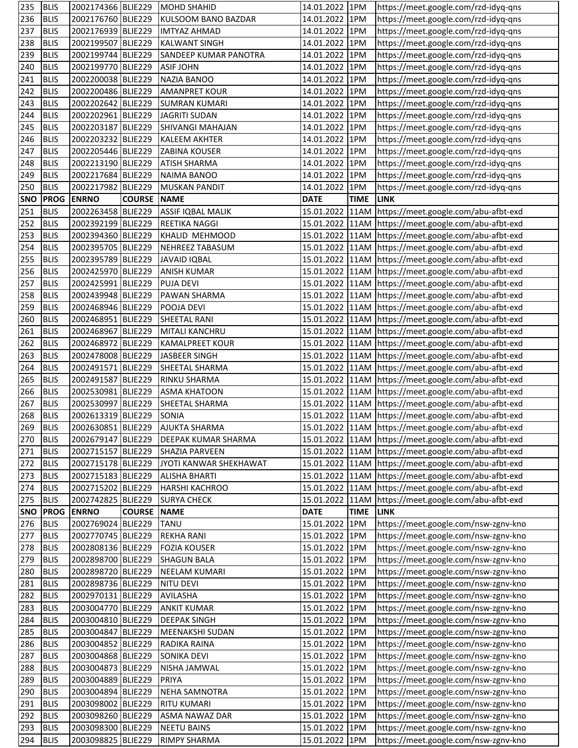| 235        | <b>BLIS</b>                | 2002174366 BLIE229                       |                    | <b>MOHD SHAHID</b>                            | 14.01.2022 1PM                   |             | https://meet.google.com/rzd-idyq-qns                                                                             |
|------------|----------------------------|------------------------------------------|--------------------|-----------------------------------------------|----------------------------------|-------------|------------------------------------------------------------------------------------------------------------------|
| 236        | <b>BLIS</b>                | 2002176760 BLIE229                       |                    | KULSOOM BANO BAZDAR                           | 14.01.2022 1PM                   |             | https://meet.google.com/rzd-idyq-qns                                                                             |
| 237        | <b>BLIS</b>                | 2002176939 BLIE229                       |                    | <b>IMTYAZ AHMAD</b>                           | 14.01.2022 1PM                   |             | https://meet.google.com/rzd-idyq-qns                                                                             |
| 238        | <b>BLIS</b>                | 2002199507 BLIE229                       |                    | <b>KALWANT SINGH</b>                          | 14.01.2022 1PM                   |             | https://meet.google.com/rzd-idyq-qns                                                                             |
| 239        | <b>BLIS</b>                | 2002199744 BLIE229                       |                    | SANDEEP KUMAR PANOTRA                         | 14.01.2022 1PM                   |             | https://meet.google.com/rzd-idyq-qns                                                                             |
| 240        | <b>BLIS</b>                | 2002199770 BLIE229                       |                    | <b>ASIF JOHN</b>                              | 14.01.2022 1PM                   |             | https://meet.google.com/rzd-idyq-qns                                                                             |
| 241        | <b>BLIS</b>                | 2002200038 BLIE229                       |                    | <b>NAZIA BANOO</b>                            | 14.01.2022 1PM                   |             | https://meet.google.com/rzd-idyq-qns                                                                             |
| 242        | <b>BLIS</b>                | 2002200486 BLIE229                       |                    | <b>AMANPRET KOUR</b>                          | 14.01.2022 1PM                   |             | https://meet.google.com/rzd-idyq-qns                                                                             |
| 243        | <b>BLIS</b>                | 2002202642 BLIE229                       |                    | <b>SUMRAN KUMARI</b>                          | 14.01.2022 1PM                   |             | https://meet.google.com/rzd-idyq-qns                                                                             |
| 244        | <b>BLIS</b>                | 2002202961 BLIE229                       |                    | JAGRITI SUDAN                                 | 14.01.2022 1PM                   |             | https://meet.google.com/rzd-idyq-qns                                                                             |
| 245        | <b>BLIS</b>                | 2002203187 BLIE229                       |                    | SHIVANGI MAHAJAN                              | 14.01.2022 1PM                   |             | https://meet.google.com/rzd-idyq-qns                                                                             |
| 246        | <b>BLIS</b>                | 2002203232 BLIE229                       |                    | <b>KALEEM AKHTER</b>                          | 14.01.2022 1PM                   |             | https://meet.google.com/rzd-idyq-qns                                                                             |
| 247        | <b>BLIS</b>                | 2002205446 BLIE229                       |                    | <b>ZABINA KOUSER</b>                          | 14.01.2022 1PM                   |             | https://meet.google.com/rzd-idyq-qns                                                                             |
| 248        | <b>BLIS</b>                | 2002213190 BLIE229                       |                    | <b>ATISH SHARMA</b>                           | 14.01.2022 1PM                   |             | https://meet.google.com/rzd-idyq-qns                                                                             |
| 249        | <b>BLIS</b>                | 2002217684 BLIE229                       |                    | <b>NAIMA BANOO</b>                            | 14.01.2022 1PM                   |             | https://meet.google.com/rzd-idyq-qns                                                                             |
| 250        | <b>BLIS</b>                | 2002217982 BLIE229                       |                    | <b>MUSKAN PANDIT</b>                          | 14.01.2022 1PM                   |             | https://meet.google.com/rzd-idyq-qns                                                                             |
| <b>SNO</b> | <b>PROG</b>                | <b>ENRNO</b>                             | <b>COURSE</b>      | <b>NAME</b>                                   | <b>DATE</b>                      | <b>TIME</b> | <b>LINK</b>                                                                                                      |
| 251        | <b>BLIS</b>                | 2002263458 BLIE229                       |                    | ASSIF IQBAL MALIK                             |                                  |             | 15.01.2022 11AM https://meet.google.com/abu-afbt-exd                                                             |
| 252        | <b>BLIS</b>                | 2002392199 BLIE229                       |                    | <b>REETIKA NAGGI</b>                          |                                  |             | 15.01.2022 11AM https://meet.google.com/abu-afbt-exd                                                             |
| 253        | <b>BLIS</b>                | 2002394360 BLIE229                       |                    | KHALID MEHMOOD                                |                                  |             | 15.01.2022 11AM https://meet.google.com/abu-afbt-exd                                                             |
| 254        | <b>BLIS</b>                | 2002395705 BLIE229                       |                    | NEHREEZ TABASUM                               |                                  |             | 15.01.2022 11AM https://meet.google.com/abu-afbt-exd                                                             |
| 255        | <b>BLIS</b>                | 2002395789 BLIE229                       |                    | <b>JAVAID IQBAL</b>                           |                                  |             | 15.01.2022 11AM https://meet.google.com/abu-afbt-exd                                                             |
| 256        | <b>BLIS</b>                | 2002425970 BLIE229                       |                    | <b>ANISH KUMAR</b>                            |                                  |             | 15.01.2022 11AM https://meet.google.com/abu-afbt-exd                                                             |
| 257        | <b>BLIS</b>                | 2002425991 BLIE229                       |                    | <b>PUJA DEVI</b>                              |                                  |             | 15.01.2022 11AM https://meet.google.com/abu-afbt-exd                                                             |
| 258        | <b>BLIS</b>                | 2002439948 BLIE229                       |                    | PAWAN SHARMA                                  |                                  |             | 15.01.2022 11AM https://meet.google.com/abu-afbt-exd                                                             |
| 259        | <b>BLIS</b>                | 2002468946 BLIE229                       |                    | POOJA DEVI                                    |                                  |             | 15.01.2022 11AM https://meet.google.com/abu-afbt-exd                                                             |
| 260        | <b>BLIS</b>                | 2002468951 BLIE229                       |                    | SHEETAL RANI                                  |                                  |             | 15.01.2022 11AM https://meet.google.com/abu-afbt-exd                                                             |
| 261        | <b>BLIS</b>                | 2002468967 BLIE229                       |                    | MITALI KANCHRU                                |                                  |             | 15.01.2022 11AM https://meet.google.com/abu-afbt-exd                                                             |
|            | <b>BLIS</b>                | 2002468972 BLIE229                       |                    | <b>KAMALPREET KOUR</b>                        |                                  |             | 15.01.2022   11AM   https://meet.google.com/abu-afbt-exd                                                         |
| 262<br>263 | <b>BLIS</b>                | 2002478008 BLIE229                       |                    | <b>JASBEER SINGH</b>                          |                                  |             | 15.01.2022 11AM https://meet.google.com/abu-afbt-exd                                                             |
|            |                            | 2002491571                               |                    |                                               |                                  |             |                                                                                                                  |
| 264        | <b>BLIS</b><br><b>BLIS</b> | 2002491587 BLIE229                       | BLIE229            | SHEETAL SHARMA                                |                                  |             | 15.01.2022   11AM   https://meet.google.com/abu-afbt-exd                                                         |
| 265        | <b>BLIS</b>                | 2002530981 BLIE229                       |                    | RINKU SHARMA<br><b>ASMA KHATOON</b>           |                                  |             | 15.01.2022 11AM https://meet.google.com/abu-afbt-exd                                                             |
| 266<br>267 | <b>BLIS</b>                | 2002530997 BLIE229                       |                    | SHEETAL SHARMA                                |                                  |             | 15.01.2022 11AM https://meet.google.com/abu-afbt-exd<br>15.01.2022 11AM https://meet.google.com/abu-afbt-exd     |
|            |                            |                                          |                    | <b>SONIA</b>                                  |                                  |             |                                                                                                                  |
| 268<br>269 | <b>BLIS</b><br><b>BLIS</b> | 2002613319 BLIE229                       |                    | 2002630851 BLIE229 AJUKTA SHARMA              |                                  |             | 15.01.2022   11AM   https://meet.google.com/abu-afbt-exd<br>15.01.2022 11AM https://meet.google.com/abu-afbt-exd |
|            | <b>BLIS</b>                | 2002679147 BLIE229                       |                    |                                               |                                  |             |                                                                                                                  |
| 270        |                            |                                          |                    | <b>DEEPAK KUMAR SHARMA</b>                    |                                  |             | 15.01.2022 11AM https://meet.google.com/abu-afbt-exd<br>15.01.2022 11AM https://meet.google.com/abu-afbt-exd     |
| 271        | <b>BLIS</b>                | 2002715157 BLIE229<br>2002715178 BLIE229 |                    | SHAZIA PARVEEN                                |                                  |             |                                                                                                                  |
| 272        | <b>BLIS</b>                |                                          |                    | JYOTI KANWAR SHEKHAWAT                        |                                  |             | 15.01.2022 11AM https://meet.google.com/abu-afbt-exd                                                             |
| 273        | <b>BLIS</b>                | 2002715183 BLIE229                       |                    | <b>ALISHA BHARTI</b><br><b>HARSHI KACHROO</b> |                                  |             | 15.01.2022 11AM https://meet.google.com/abu-afbt-exd                                                             |
| 274        | <b>BLIS</b>                | 2002715202 BLIE229<br>2002742825 BLIE229 |                    | <b>SURYA CHECK</b>                            |                                  |             | 15.01.2022 11AM https://meet.google.com/abu-afbt-exd                                                             |
| 275        | <b>BLIS</b>                | <b>ENRNO</b>                             | <b>COURSE NAME</b> |                                               | <b>DATE</b>                      | <b>TIME</b> | 15.01.2022 11AM https://meet.google.com/abu-afbt-exd                                                             |
| <b>SNO</b> | <b>PROG</b>                | 2002769024 BLIE229                       |                    |                                               | 15.01.2022 1PM                   |             | <b>LINK</b>                                                                                                      |
| 276        | <b>BLIS</b>                |                                          |                    | <b>TANU</b>                                   |                                  |             | https://meet.google.com/nsw-zgnv-kno                                                                             |
| 277<br>278 | <b>BLIS</b><br><b>BLIS</b> | 2002770745 BLIE229<br>2002808136 BLIE229 |                    | <b>REKHA RANI</b><br><b>FOZIA KOUSER</b>      | 15.01.2022 1PM<br>15.01.2022 1PM |             | https://meet.google.com/nsw-zgnv-kno<br>https://meet.google.com/nsw-zgnv-kno                                     |
|            |                            |                                          |                    | <b>SHAGUN BALA</b>                            |                                  |             |                                                                                                                  |
| 279        | <b>BLIS</b>                | 2002898700 BLIE229                       |                    |                                               | 15.01.2022 1PM                   |             | https://meet.google.com/nsw-zgnv-kno                                                                             |
| 280        | <b>BLIS</b>                | 2002898720 BLIE229                       |                    | NEELAM KUMARI                                 | 15.01.2022 1PM                   |             | https://meet.google.com/nsw-zgnv-kno                                                                             |
| 281        | <b>BLIS</b>                | 2002898736 BLIE229                       |                    | NITU DEVI                                     | 15.01.2022 1PM                   |             | https://meet.google.com/nsw-zgnv-kno                                                                             |
| 282        | <b>BLIS</b>                | 2002970131 BLIE229                       |                    | <b>AVILASHA</b>                               | 15.01.2022 1PM                   |             | https://meet.google.com/nsw-zgnv-kno                                                                             |
| 283        | <b>BLIS</b>                | 2003004770 BLIE229                       |                    | <b>ANKIT KUMAR</b>                            | 15.01.2022 1PM                   |             | https://meet.google.com/nsw-zgnv-kno                                                                             |
| 284        | <b>BLIS</b>                | 2003004810 BLIE229                       |                    | <b>DEEPAK SINGH</b>                           | 15.01.2022 1PM                   |             | https://meet.google.com/nsw-zgnv-kno                                                                             |
| 285        | <b>BLIS</b>                | 2003004847 BLIE229                       |                    | <b>MEENAKSHI SUDAN</b>                        | 15.01.2022 1PM                   |             | https://meet.google.com/nsw-zgnv-kno                                                                             |
| 286        | <b>BLIS</b>                | 2003004852 BLIE229                       |                    | RADIKA RAINA                                  | 15.01.2022 1PM                   |             | https://meet.google.com/nsw-zgnv-kno                                                                             |
| 287        | <b>BLIS</b>                | 2003004868 BLIE229                       |                    | <b>SONIKA DEVI</b>                            | 15.01.2022 1PM                   |             | https://meet.google.com/nsw-zgnv-kno                                                                             |
| 288        | <b>BLIS</b>                | 2003004873 BLIE229                       |                    | NISHA JAMWAL                                  | 15.01.2022 1PM                   |             | https://meet.google.com/nsw-zgnv-kno                                                                             |
| 289        | <b>BLIS</b>                | 2003004889 BLIE229                       |                    | <b>PRIYA</b>                                  | 15.01.2022 1PM                   |             | https://meet.google.com/nsw-zgnv-kno                                                                             |
| 290        | <b>BLIS</b>                | 2003004894 BLIE229                       |                    | <b>NEHA SAMNOTRA</b>                          | 15.01.2022 1PM                   |             | https://meet.google.com/nsw-zgnv-kno                                                                             |
| 291        | <b>BLIS</b>                | 2003098002 BLIE229                       |                    | <b>RITU KUMARI</b>                            | 15.01.2022 1PM                   |             | https://meet.google.com/nsw-zgnv-kno                                                                             |
| 292        | <b>BLIS</b>                | 2003098260 BLIE229                       |                    | <b>ASMA NAWAZ DAR</b>                         | 15.01.2022 1PM                   |             | https://meet.google.com/nsw-zgnv-kno                                                                             |
| 293        | <b>BLIS</b>                | 2003098300 BLIE229                       |                    | <b>NEETU BAINS</b>                            | 15.01.2022 1PM                   |             | https://meet.google.com/nsw-zgnv-kno                                                                             |
| 294        | <b>BLIS</b>                | 2003098825 BLIE229                       |                    | <b>RIMPY SHARMA</b>                           | 15.01.2022 1PM                   |             | https://meet.google.com/nsw-zgnv-kno                                                                             |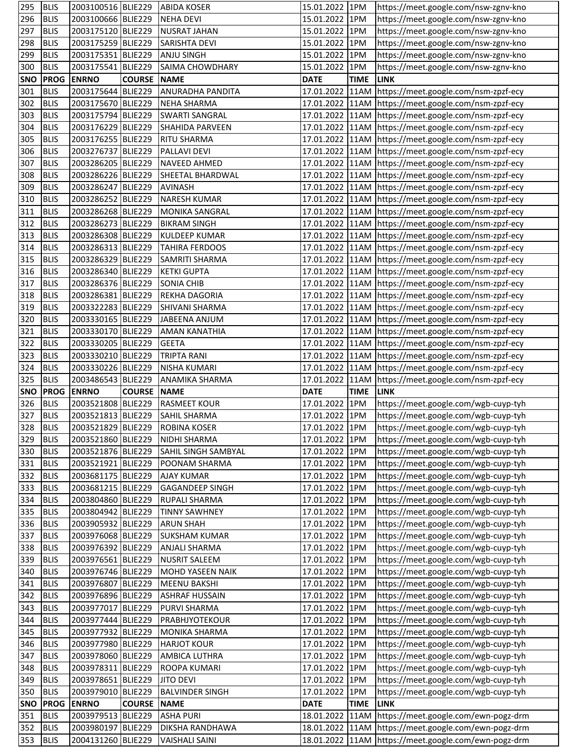| 295        | <b>BLIS</b> |                    |               | 2003100516 BLIE229 ABIDA KOSER | 15.01.2022 1PM  |             | https://meet.google.com/nsw-zgnv-kno                     |
|------------|-------------|--------------------|---------------|--------------------------------|-----------------|-------------|----------------------------------------------------------|
| 296        | <b>BLIS</b> | 2003100666 BLIE229 |               | <b>NEHA DEVI</b>               | 15.01.2022 1PM  |             | https://meet.google.com/nsw-zgnv-kno                     |
| 297        | <b>BLIS</b> | 2003175120 BLIE229 |               | <b>NUSRAT JAHAN</b>            | 15.01.2022 1PM  |             | https://meet.google.com/nsw-zgnv-kno                     |
| 298        | <b>BLIS</b> | 2003175259 BLIE229 |               | <b>SARISHTA DEVI</b>           | 15.01.2022 1PM  |             | https://meet.google.com/nsw-zgnv-kno                     |
| 299        | <b>BLIS</b> | 2003175351 BLIE229 |               | <b>ANJU SINGH</b>              | 15.01.2022 1PM  |             | https://meet.google.com/nsw-zgnv-kno                     |
| 300        | <b>BLIS</b> | 2003175541 BLIE229 |               | SAIMA CHOWDHARY                | 15.01.2022 1PM  |             | https://meet.google.com/nsw-zgnv-kno                     |
| <b>SNO</b> | <b>PROG</b> | <b>ENRNO</b>       | <b>COURSE</b> | <b>NAME</b>                    | <b>DATE</b>     | <b>TIME</b> | <b>LINK</b>                                              |
| 301        | <b>BLIS</b> | 2003175644 BLIE229 |               | <b>ANURADHA PANDITA</b>        |                 |             | 17.01.2022 11AM https://meet.google.com/nsm-zpzf-ecy     |
| 302        | <b>BLIS</b> | 2003175670 BLIE229 |               | <b>NEHA SHARMA</b>             |                 |             | 17.01.2022 11AM https://meet.google.com/nsm-zpzf-ecy     |
| 303        | <b>BLIS</b> | 2003175794 BLIE229 |               | <b>SWARTI SANGRAL</b>          |                 |             | 17.01.2022   11AM   https://meet.google.com/nsm-zpzf-ecy |
| 304        | <b>BLIS</b> | 2003176229 BLIE229 |               | SHAHIDA PARVEEN                |                 |             | 17.01.2022 11AM https://meet.google.com/nsm-zpzf-ecy     |
| 305        | <b>BLIS</b> | 2003176255 BLIE229 |               | <b>RITU SHARMA</b>             |                 |             | 17.01.2022   11AM   https://meet.google.com/nsm-zpzf-ecy |
| 306        | <b>BLIS</b> | 2003276737 BLIE229 |               | PALLAVI DEVI                   |                 |             | 17.01.2022 11AM https://meet.google.com/nsm-zpzf-ecy     |
| 307        | <b>BLIS</b> | 2003286205 BLIE229 |               | <b>NAVEED AHMED</b>            |                 |             | 17.01.2022 11AM https://meet.google.com/nsm-zpzf-ecy     |
| 308        | <b>BLIS</b> | 2003286226 BLIE229 |               | SHEETAL BHARDWAL               |                 |             | 17.01.2022 11AM https://meet.google.com/nsm-zpzf-ecy     |
| 309        | <b>BLIS</b> | 2003286247 BLIE229 |               | <b>AVINASH</b>                 |                 |             | 17.01.2022 11AM https://meet.google.com/nsm-zpzf-ecy     |
| 310        | <b>BLIS</b> | 2003286252 BLIE229 |               | <b>NARESH KUMAR</b>            |                 |             | 17.01.2022 11AM https://meet.google.com/nsm-zpzf-ecy     |
| 311        | <b>BLIS</b> | 2003286268 BLIE229 |               | <b>MONIKA SANGRAL</b>          |                 |             | 17.01.2022 11AM https://meet.google.com/nsm-zpzf-ecy     |
| 312        | <b>BLIS</b> | 2003286273 BLIE229 |               | <b>BIKRAM SINGH</b>            |                 |             | 17.01.2022 11AM https://meet.google.com/nsm-zpzf-ecy     |
| 313        | <b>BLIS</b> | 2003286308 BLIE229 |               | <b>KULDEEP KUMAR</b>           |                 |             | 17.01.2022   11AM   https://meet.google.com/nsm-zpzf-ecy |
| 314        | <b>BLIS</b> | 2003286313 BLIE229 |               | <b>TAHIRA FERDOOS</b>          |                 |             | 17.01.2022 11AM https://meet.google.com/nsm-zpzf-ecy     |
| 315        | <b>BLIS</b> | 2003286329 BLIE229 |               | SAMRITI SHARMA                 |                 |             | 17.01.2022 11AM https://meet.google.com/nsm-zpzf-ecy     |
| 316        | <b>BLIS</b> | 2003286340 BLIE229 |               | <b>KETKI GUPTA</b>             |                 |             | 17.01.2022 11AM https://meet.google.com/nsm-zpzf-ecy     |
| 317        | <b>BLIS</b> | 2003286376 BLIE229 |               | <b>SONIA CHIB</b>              |                 |             | 17.01.2022 11AM https://meet.google.com/nsm-zpzf-ecy     |
| 318        | <b>BLIS</b> | 2003286381 BLIE229 |               | REKHA DAGORIA                  |                 |             | 17.01.2022   11AM   https://meet.google.com/nsm-zpzf-ecy |
| 319        | <b>BLIS</b> | 2003322283 BLIE229 |               | SHIVANI SHARMA                 |                 |             | 17.01.2022 11AM https://meet.google.com/nsm-zpzf-ecy     |
| 320        | <b>BLIS</b> | 2003330165 BLIE229 |               | JABEENA ANJUM                  |                 |             | 17.01.2022 11AM https://meet.google.com/nsm-zpzf-ecy     |
| 321        | <b>BLIS</b> | 2003330170 BLIE229 |               | <b>AMAN KANATHIA</b>           |                 |             | 17.01.2022 11AM https://meet.google.com/nsm-zpzf-ecy     |
| 322        | <b>BLIS</b> | 2003330205 BLIE229 |               | <b>GEETA</b>                   |                 |             | 17.01.2022 11AM https://meet.google.com/nsm-zpzf-ecy     |
| 323        | <b>BLIS</b> | 2003330210 BLIE229 |               | <b>TRIPTA RANI</b>             |                 |             | 17.01.2022 11AM https://meet.google.com/nsm-zpzf-ecy     |
| 324        | <b>BLIS</b> | 2003330226 BLIE229 |               | <b>NISHA KUMARI</b>            |                 |             | 17.01.2022 11AM https://meet.google.com/nsm-zpzf-ecy     |
| 325        | <b>BLIS</b> | 2003486543 BLIE229 |               | <b>ANAMIKA SHARMA</b>          |                 |             | 17.01.2022   11AM   https://meet.google.com/nsm-zpzf-ecy |
| <b>SNO</b> | <b>PROG</b> | <b>ENRNO</b>       | <b>COURSE</b> | <b>NAME</b>                    | <b>DATE</b>     | <b>TIME</b> | <b>ILINK</b>                                             |
| 326        | <b>BLIS</b> | 2003521808 BLIE229 |               | <b>RASMEET KOUR</b>            | 17.01.2022 1PM  |             | https://meet.google.com/wgb-cuyp-tyh                     |
| 327        | <b>BLIS</b> | 2003521813 BLIE229 |               | <b>SAHIL SHARMA</b>            | 17.01.2022 1PM  |             | https://meet.google.com/wgb-cuyp-tyh                     |
| 328        | <b>BLIS</b> | 2003521829 BLIE229 |               | <b>ROBINA KOSER</b>            | 17.01.2022 1PM  |             | https://meet.google.com/wgb-cuyp-tyh                     |
| 329        | <b>BLIS</b> | 2003521860 BLIE229 |               | NIDHI SHARMA                   | 17.01.2022 1PM  |             | https://meet.google.com/wgb-cuyp-tyh                     |
| 330        | <b>BLIS</b> | 2003521876 BLIE229 |               | SAHIL SINGH SAMBYAL            | 17.01.2022 1PM  |             | https://meet.google.com/wgb-cuyp-tyh                     |
| 331        | <b>BLIS</b> | 2003521921 BLIE229 |               | POONAM SHARMA                  | 17.01.2022 1PM  |             | https://meet.google.com/wgb-cuyp-tyh                     |
| 332        | <b>BLIS</b> | 2003681175 BLIE229 |               | <b>AJAY KUMAR</b>              | 17.01.2022 1PM  |             | https://meet.google.com/wgb-cuyp-tyh                     |
| 333        | <b>BLIS</b> | 2003681215 BLIE229 |               | <b>GAGANDEEP SINGH</b>         | 17.01.2022 1PM  |             | https://meet.google.com/wgb-cuyp-tyh                     |
| 334        | <b>BLIS</b> | 2003804860 BLIE229 |               | <b>RUPALI SHARMA</b>           | 17.01.2022 1PM  |             | https://meet.google.com/wgb-cuyp-tyh                     |
| 335        | <b>BLIS</b> | 2003804942 BLIE229 |               | <b>TINNY SAWHNEY</b>           | 17.01.2022 1PM  |             | https://meet.google.com/wgb-cuyp-tyh                     |
| 336        | <b>BLIS</b> | 2003905932 BLIE229 |               | <b>ARUN SHAH</b>               | 17.01.2022 1PM  |             | https://meet.google.com/wgb-cuyp-tyh                     |
| 337        | <b>BLIS</b> | 2003976068 BLIE229 |               | <b>SUKSHAM KUMAR</b>           | 17.01.2022 1PM  |             | https://meet.google.com/wgb-cuyp-tyh                     |
| 338        | <b>BLIS</b> | 2003976392 BLIE229 |               | <b>ANJALI SHARMA</b>           | 17.01.2022 1PM  |             | https://meet.google.com/wgb-cuyp-tyh                     |
| 339        | <b>BLIS</b> | 2003976561 BLIE229 |               | <b>NUSRIT SALEEM</b>           | 17.01.2022 1PM  |             | https://meet.google.com/wgb-cuyp-tyh                     |
| 340        | <b>BLIS</b> | 2003976746 BLIE229 |               | MOHD YASEEN NAIK               | 17.01.2022 1PM  |             | https://meet.google.com/wgb-cuyp-tyh                     |
| 341        | <b>BLIS</b> | 2003976807 BLIE229 |               | <b>MEENU BAKSHI</b>            | 17.01.2022 1PM  |             | https://meet.google.com/wgb-cuyp-tyh                     |
| 342        | <b>BLIS</b> | 2003976896 BLIE229 |               | <b>ASHRAF HUSSAIN</b>          | 17.01.2022 1PM  |             | https://meet.google.com/wgb-cuyp-tyh                     |
| 343        | <b>BLIS</b> | 2003977017 BLIE229 |               | PURVI SHARMA                   | 17.01.2022 1PM  |             | https://meet.google.com/wgb-cuyp-tyh                     |
| 344        | <b>BLIS</b> | 2003977444 BLIE229 |               | PRABHJYOTEKOUR                 | 17.01.2022 1PM  |             | https://meet.google.com/wgb-cuyp-tyh                     |
| 345        | <b>BLIS</b> | 2003977932 BLIE229 |               | <b>MONIKA SHARMA</b>           | 17.01.2022 1PM  |             | https://meet.google.com/wgb-cuyp-tyh                     |
| 346        | <b>BLIS</b> | 2003977980 BLIE229 |               | <b>HARJOT KOUR</b>             | 17.01.2022 1PM  |             | https://meet.google.com/wgb-cuyp-tyh                     |
| 347        | <b>BLIS</b> | 2003978060 BLIE229 |               | <b>AMBICA LUTHRA</b>           | 17.01.2022 1PM  |             | https://meet.google.com/wgb-cuyp-tyh                     |
| 348        | <b>BLIS</b> | 2003978311 BLIE229 |               | ROOPA KUMARI                   | 17.01.2022 1PM  |             | https://meet.google.com/wgb-cuyp-tyh                     |
| 349        | <b>BLIS</b> | 2003978651 BLIE229 |               | <b>JITO DEVI</b>               | 17.01.2022 1PM  |             | https://meet.google.com/wgb-cuyp-tyh                     |
| 350        | <b>BLIS</b> | 2003979010 BLIE229 |               | <b>BALVINDER SINGH</b>         | 17.01.2022 1PM  |             | https://meet.google.com/wgb-cuyp-tyh                     |
| <b>SNO</b> | <b>PROG</b> | <b>ENRNO</b>       | <b>COURSE</b> | <b>NAME</b>                    | <b>DATE</b>     | <b>TIME</b> | <b>LINK</b>                                              |
| 351        | <b>BLIS</b> | 2003979513 BLIE229 |               | <b>ASHA PURI</b>               | 18.01.2022 11AM |             | https://meet.google.com/ewn-pogz-drm                     |
| 352        | <b>BLIS</b> | 2003980197 BLIE229 |               | DIKSHA RANDHAWA                |                 |             | 18.01.2022 11AM https://meet.google.com/ewn-pogz-drm     |
| 353        | <b>BLIS</b> | 2004131260 BLIE229 |               | <b>VAISHALI SAINI</b>          |                 |             | 18.01.2022 11AM https://meet.google.com/ewn-pogz-drm     |
|            |             |                    |               |                                |                 |             |                                                          |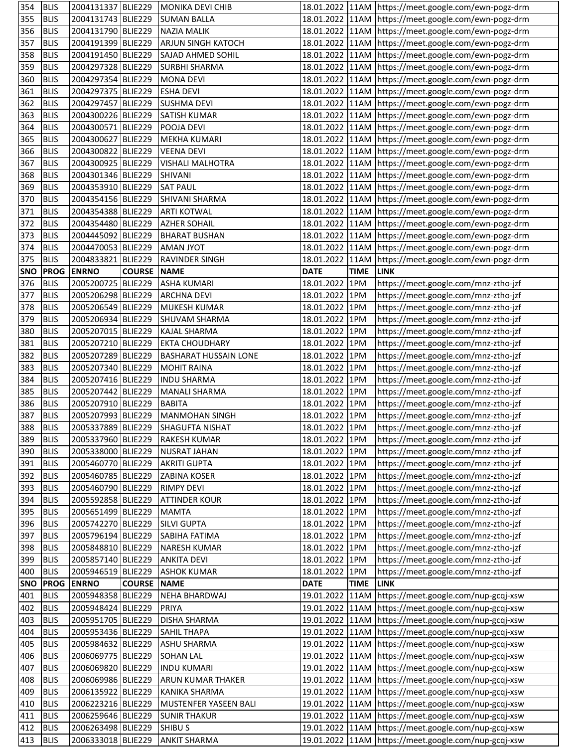| 354        | <b>BLIS</b> | 2004131337 BLIE229 |               | MONIKA DEVI CHIB             |                 |             | 18.01.2022 11AM https://meet.google.com/ewn-pogz-drm     |
|------------|-------------|--------------------|---------------|------------------------------|-----------------|-------------|----------------------------------------------------------|
| 355        | <b>BLIS</b> | 2004131743 BLIE229 |               | <b>SUMAN BALLA</b>           |                 |             | 18.01.2022 11AM https://meet.google.com/ewn-pogz-drm     |
| 356        | <b>BLIS</b> | 2004131790 BLIE229 |               | <b>NAZIA MALIK</b>           |                 |             | 18.01.2022 11AM https://meet.google.com/ewn-pogz-drm     |
| 357        | <b>BLIS</b> | 2004191399 BLIE229 |               | <b>ARJUN SINGH KATOCH</b>    |                 |             | 18.01.2022 11AM https://meet.google.com/ewn-pogz-drm     |
| 358        | <b>BLIS</b> | 2004191450 BLIE229 |               | SAJAD AHMED SOHIL            |                 |             | 18.01.2022 11AM https://meet.google.com/ewn-pogz-drm     |
| 359        | <b>BLIS</b> | 2004297328 BLIE229 |               | <b>SURBHI SHARMA</b>         |                 |             | 18.01.2022 11AM https://meet.google.com/ewn-pogz-drm     |
| 360        | <b>BLIS</b> | 2004297354 BLIE229 |               | <b>MONA DEVI</b>             |                 |             | 18.01.2022 11AM https://meet.google.com/ewn-pogz-drm     |
| 361        | <b>BLIS</b> | 2004297375 BLIE229 |               | <b>ESHA DEVI</b>             |                 |             | 18.01.2022 11AM https://meet.google.com/ewn-pogz-drm     |
| 362        | <b>BLIS</b> | 2004297457 BLIE229 |               | <b>SUSHMA DEVI</b>           |                 |             | 18.01.2022 11AM https://meet.google.com/ewn-pogz-drm     |
| 363        | <b>BLIS</b> | 2004300226 BLIE229 |               | <b>SATISH KUMAR</b>          |                 |             | 18.01.2022   11AM   https://meet.google.com/ewn-pogz-drm |
| 364        | <b>BLIS</b> | 2004300571 BLIE229 |               | POOJA DEVI                   |                 |             | 18.01.2022   11AM   https://meet.google.com/ewn-pogz-drm |
| 365        | <b>BLIS</b> | 2004300627 BLIE229 |               | <b>MEKHA KUMARI</b>          |                 |             | 18.01.2022 11AM https://meet.google.com/ewn-pogz-drm     |
| 366        | <b>BLIS</b> | 2004300822 BLIE229 |               | <b>VEENA DEVI</b>            |                 |             | 18.01.2022 11AM https://meet.google.com/ewn-pogz-drm     |
| 367        | <b>BLIS</b> | 2004300925 BLIE229 |               | <b>VISHALI MALHOTRA</b>      |                 |             | 18.01.2022 11AM https://meet.google.com/ewn-pogz-drm     |
| 368        | <b>BLIS</b> | 2004301346 BLIE229 |               | SHIVANI                      |                 |             | 18.01.2022 11AM https://meet.google.com/ewn-pogz-drm     |
| 369        | <b>BLIS</b> | 2004353910 BLIE229 |               | <b>SAT PAUL</b>              |                 |             | 18.01.2022 11AM https://meet.google.com/ewn-pogz-drm     |
| 370        | <b>BLIS</b> | 2004354156 BLIE229 |               | SHIVANI SHARMA               |                 |             | 18.01.2022 11AM https://meet.google.com/ewn-pogz-drm     |
| 371        | <b>BLIS</b> | 2004354388 BLIE229 |               | <b>ARTI KOTWAL</b>           |                 |             | 18.01.2022 11AM https://meet.google.com/ewn-pogz-drm     |
| 372        | <b>BLIS</b> | 2004354480 BLIE229 |               | <b>AZHER SOHAIL</b>          |                 |             | 18.01.2022   11AM   https://meet.google.com/ewn-pogz-drm |
| 373        | <b>BLIS</b> | 2004445092 BLIE229 |               | <b>BHARAT BUSHAN</b>         |                 |             | 18.01.2022 11AM https://meet.google.com/ewn-pogz-drm     |
| 374        | <b>BLIS</b> | 2004470053 BLIE229 |               | <b>AMAN JYOT</b>             |                 |             | 18.01.2022 11AM https://meet.google.com/ewn-pogz-drm     |
| 375        | <b>BLIS</b> | 2004833821 BLIE229 |               | <b>RAVINDER SINGH</b>        |                 |             | 18.01.2022 11AM https://meet.google.com/ewn-pogz-drm     |
| <b>SNO</b> | <b>PROG</b> | <b>ENRNO</b>       | <b>COURSE</b> | <b>NAME</b>                  | <b>DATE</b>     | <b>TIME</b> | <b>LINK</b>                                              |
| 376        | <b>BLIS</b> | 2005200725 BLIE229 |               | <b>ASHA KUMARI</b>           | 18.01.2022 1PM  |             | https://meet.google.com/mnz-ztho-jzf                     |
| 377        | <b>BLIS</b> | 2005206298 BLIE229 |               | <b>ARCHNA DEVI</b>           | 18.01.2022 1PM  |             | https://meet.google.com/mnz-ztho-jzf                     |
| 378        | <b>BLIS</b> | 2005206549 BLIE229 |               | <b>MUKESH KUMAR</b>          | 18.01.2022 1PM  |             | https://meet.google.com/mnz-ztho-jzf                     |
| 379        | <b>BLIS</b> | 2005206934 BLIE229 |               | <b>SHUVAM SHARMA</b>         | 18.01.2022 1PM  |             | https://meet.google.com/mnz-ztho-jzf                     |
| 380        | <b>BLIS</b> | 2005207015 BLIE229 |               | KAJAL SHARMA                 | 18.01.2022 1PM  |             | https://meet.google.com/mnz-ztho-jzf                     |
| 381        | <b>BLIS</b> | 2005207210 BLIE229 |               | <b>EKTA CHOUDHARY</b>        | 18.01.2022 1PM  |             | https://meet.google.com/mnz-ztho-jzf                     |
| 382        | <b>BLIS</b> | 2005207289 BLIE229 |               | <b>BASHARAT HUSSAIN LONE</b> | 18.01.2022 1PM  |             | https://meet.google.com/mnz-ztho-jzf                     |
| 383        | <b>BLIS</b> | 2005207340 BLIE229 |               | <b>MOHIT RAINA</b>           | 18.01.2022 1PM  |             | https://meet.google.com/mnz-ztho-jzf                     |
| 384        | <b>BLIS</b> | 2005207416 BLIE229 |               | <b>INDU SHARMA</b>           | 18.01.2022 1PM  |             | https://meet.google.com/mnz-ztho-jzf                     |
| 385        | <b>BLIS</b> | 2005207442 BLIE229 |               | <b>MANALI SHARMA</b>         | 18.01.2022 1PM  |             | https://meet.google.com/mnz-ztho-jzf                     |
| 386        | <b>BLIS</b> | 2005207910 BLIE229 |               | <b>BABITA</b>                | 18.01.2022 1PM  |             | https://meet.google.com/mnz-ztho-jzf                     |
| 387        | <b>BLIS</b> | 2005207993 BLIE229 |               | <b>MANMOHAN SINGH</b>        | 18.01.2022 1PM  |             | https://meet.google.com/mnz-ztho-jzf                     |
| 388        | <b>BLIS</b> | 2005337889 BLIE229 |               | <b>SHAGUFTA NISHAT</b>       | 18.01.2022 1PM  |             | https://meet.google.com/mnz-ztho-jzf                     |
| 389        | <b>BLIS</b> | 2005337960 BLIE229 |               | <b>RAKESH KUMAR</b>          | 18.01.2022 1PM  |             | https://meet.google.com/mnz-ztho-jzf                     |
| 390        | <b>BLIS</b> | 2005338000 BLIE229 |               | <b>NUSRAT JAHAN</b>          | 18.01.2022 1PM  |             | https://meet.google.com/mnz-ztho-jzf                     |
| 391        | <b>BLIS</b> | 2005460770 BLIE229 |               | <b>AKRITI GUPTA</b>          | 18.01.2022 1PM  |             | https://meet.google.com/mnz-ztho-jzf                     |
| 392        | <b>BLIS</b> | 2005460785 BLIE229 |               | <b>ZABINA KOSER</b>          | 18.01.2022 1PM  |             | https://meet.google.com/mnz-ztho-jzf                     |
| 393        | <b>BLIS</b> | 2005460790 BLIE229 |               | <b>RIMPY DEVI</b>            | 18.01.2022 1PM  |             | https://meet.google.com/mnz-ztho-jzf                     |
| 394        | <b>BLIS</b> | 2005592858 BLIE229 |               | <b>ATTINDER KOUR</b>         | 18.01.2022 1PM  |             | https://meet.google.com/mnz-ztho-jzf                     |
| 395        | <b>BLIS</b> | 2005651499 BLIE229 |               | <b>MAMTA</b>                 | 18.01.2022 1PM  |             | https://meet.google.com/mnz-ztho-jzf                     |
| 396        | <b>BLIS</b> | 2005742270 BLIE229 |               | <b>SILVI GUPTA</b>           | 18.01.2022 1PM  |             | https://meet.google.com/mnz-ztho-jzf                     |
| 397        | <b>BLIS</b> | 2005796194 BLIE229 |               | SABIHA FATIMA                | 18.01.2022 1PM  |             | https://meet.google.com/mnz-ztho-jzf                     |
| 398        | <b>BLIS</b> | 2005848810 BLIE229 |               | <b>NARESH KUMAR</b>          | 18.01.2022 1PM  |             | https://meet.google.com/mnz-ztho-jzf                     |
| 399        | <b>BLIS</b> | 2005857140 BLIE229 |               | <b>ANKITA DEVI</b>           | 18.01.2022 1PM  |             | https://meet.google.com/mnz-ztho-jzf                     |
| 400        | <b>BLIS</b> | 2005946519 BLIE229 |               | <b>ASHOK KUMAR</b>           | 18.01.2022 1PM  |             | https://meet.google.com/mnz-ztho-jzf                     |
| <b>SNO</b> | <b>PROG</b> | <b>ENRNO</b>       | <b>COURSE</b> | <b>NAME</b>                  | <b>DATE</b>     | <b>TIME</b> | <b>LINK</b>                                              |
| 401        | <b>BLIS</b> | 2005948358 BLIE229 |               | <b>NEHA BHARDWAJ</b>         |                 |             | 19.01.2022 11AM https://meet.google.com/nup-gcqj-xsw     |
| 402        | <b>BLIS</b> | 2005948424 BLIE229 |               | PRIYA                        | 19.01.2022 11AM |             | https://meet.google.com/nup-gcqj-xsw                     |
| 403        | <b>BLIS</b> | 2005951705 BLIE229 |               | DISHA SHARMA                 |                 |             | 19.01.2022 11AM https://meet.google.com/nup-gcqj-xsw     |
| 404        | <b>BLIS</b> | 2005953436 BLIE229 |               | SAHIL THAPA                  |                 |             | 19.01.2022 11AM https://meet.google.com/nup-gcqj-xsw     |
| 405        | <b>BLIS</b> | 2005984632 BLIE229 |               | ASHU SHARMA                  |                 |             | 19.01.2022 11AM https://meet.google.com/nup-gcqj-xsw     |
| 406        | <b>BLIS</b> | 2006069775 BLIE229 |               | <b>SOHAN LAL</b>             |                 |             | 19.01.2022 11AM https://meet.google.com/nup-gcqj-xsw     |
| 407        | <b>BLIS</b> | 2006069820 BLIE229 |               | <b>INDU KUMARI</b>           |                 |             | 19.01.2022   11AM   https://meet.google.com/nup-gcqj-xsw |
| 408        | <b>BLIS</b> | 2006069986 BLIE229 |               | ARUN KUMAR THAKER            |                 |             | 19.01.2022 11AM https://meet.google.com/nup-gcqj-xsw     |
| 409        | <b>BLIS</b> | 2006135922 BLIE229 |               | <b>KANIKA SHARMA</b>         |                 |             | 19.01.2022 11AM https://meet.google.com/nup-gcqj-xsw     |
| 410        | <b>BLIS</b> | 2006223216 BLIE229 |               | MUSTENFER YASEEN BALI        |                 |             | 19.01.2022 11AM https://meet.google.com/nup-gcqj-xsw     |
| 411        | <b>BLIS</b> | 2006259646 BLIE229 |               | <b>SUNIR THAKUR</b>          |                 |             | 19.01.2022   11AM   https://meet.google.com/nup-gcqj-xsw |
| 412        | <b>BLIS</b> | 2006263498 BLIE229 |               | <b>SHIBU S</b>               |                 |             | 19.01.2022 11AM https://meet.google.com/nup-gcqj-xsw     |
| 413        | <b>BLIS</b> | 2006333018 BLIE229 |               | <b>ANKIT SHARMA</b>          |                 |             | 19.01.2022 11AM https://meet.google.com/nup-gcqj-xsw     |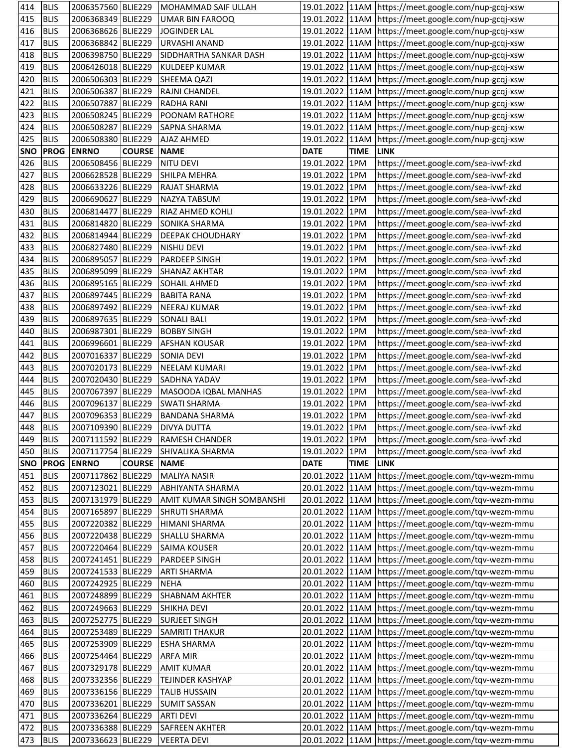| 414        | <b>BLIS</b> | 2006357560 BLIE229 |                    | MOHAMMAD SAIF ULLAH        |                 |             | 19.01.2022   11AM   https://meet.google.com/nup-gcqj-xsw |
|------------|-------------|--------------------|--------------------|----------------------------|-----------------|-------------|----------------------------------------------------------|
| 415        | <b>BLIS</b> | 2006368349 BLIE229 |                    | <b>UMAR BIN FAROOQ</b>     |                 |             | 19.01.2022   11AM   https://meet.google.com/nup-gcqj-xsw |
| 416        | <b>BLIS</b> | 2006368626 BLIE229 |                    | <b>JOGINDER LAL</b>        |                 |             | 19.01.2022 11AM https://meet.google.com/nup-gcqj-xsw     |
| 417        | <b>BLIS</b> | 2006368842 BLIE229 |                    | <b>URVASHI ANAND</b>       |                 |             | 19.01.2022 11AM https://meet.google.com/nup-gcqj-xsw     |
| 418        | <b>BLIS</b> | 2006398750 BLIE229 |                    | SIDDHARTHA SANKAR DASH     |                 |             | 19.01.2022 11AM https://meet.google.com/nup-gcqj-xsw     |
| 419        | <b>BLIS</b> | 2006426018 BLIE229 |                    | <b>KULDEEP KUMAR</b>       |                 |             | 19.01.2022 11AM https://meet.google.com/nup-gcqj-xsw     |
| 420        | <b>BLIS</b> | 2006506303 BLIE229 |                    | SHEEMA QAZI                |                 |             | 19.01.2022 11AM https://meet.google.com/nup-gcqj-xsw     |
| 421        | <b>BLIS</b> | 2006506387 BLIE229 |                    | RAJNI CHANDEL              |                 |             | 19.01.2022 11AM https://meet.google.com/nup-gcqj-xsw     |
| 422        | <b>BLIS</b> | 2006507887 BLIE229 |                    | <b>RADHA RANI</b>          |                 |             | 19.01.2022 11AM https://meet.google.com/nup-gcqj-xsw     |
| 423        | <b>BLIS</b> | 2006508245 BLIE229 |                    | POONAM RATHORE             |                 |             | 19.01.2022 11AM https://meet.google.com/nup-gcqj-xsw     |
| 424        | <b>BLIS</b> | 2006508287 BLIE229 |                    | SAPNA SHARMA               |                 |             | 19.01.2022 11AM https://meet.google.com/nup-gcqj-xsw     |
| 425        | <b>BLIS</b> | 2006508380 BLIE229 |                    | AJAZ AHMED                 | 19.01.2022 11AM |             | https://meet.google.com/nup-gcqj-xsw                     |
| <b>SNO</b> | <b>PROG</b> | <b>ENRNO</b>       | <b>COURSE</b>      | <b>NAME</b>                | <b>DATE</b>     | <b>TIME</b> | <b>LINK</b>                                              |
| 426        | <b>BLIS</b> | 2006508456 BLIE229 |                    | <b>NITU DEVI</b>           | 19.01.2022 1PM  |             | https://meet.google.com/sea-ivwf-zkd                     |
| 427        | <b>BLIS</b> | 2006628528 BLIE229 |                    | SHILPA MEHRA               | 19.01.2022 1PM  |             | https://meet.google.com/sea-ivwf-zkd                     |
| 428        | <b>BLIS</b> | 2006633226 BLIE229 |                    | <b>RAJAT SHARMA</b>        | 19.01.2022 1PM  |             | https://meet.google.com/sea-ivwf-zkd                     |
| 429        | <b>BLIS</b> | 2006690627 BLIE229 |                    | NAZYA TABSUM               | 19.01.2022 1PM  |             | https://meet.google.com/sea-ivwf-zkd                     |
| 430        | <b>BLIS</b> | 2006814477 BLIE229 |                    | RIAZ AHMED KOHLI           | 19.01.2022 1PM  |             | https://meet.google.com/sea-ivwf-zkd                     |
| 431        | <b>BLIS</b> | 2006814820 BLIE229 |                    | SONIKA SHARMA              | 19.01.2022 1PM  |             | https://meet.google.com/sea-ivwf-zkd                     |
| 432        | <b>BLIS</b> | 2006814944 BLIE229 |                    | <b>DEEPAK CHOUDHARY</b>    | 19.01.2022 1PM  |             | https://meet.google.com/sea-ivwf-zkd                     |
| 433        | <b>BLIS</b> | 2006827480 BLIE229 |                    | <b>NISHU DEVI</b>          | 19.01.2022 1PM  |             | https://meet.google.com/sea-ivwf-zkd                     |
| 434        | <b>BLIS</b> | 2006895057 BLIE229 |                    | PARDEEP SINGH              | 19.01.2022 1PM  |             | https://meet.google.com/sea-ivwf-zkd                     |
| 435        | <b>BLIS</b> | 2006895099 BLIE229 |                    | <b>SHANAZ AKHTAR</b>       | 19.01.2022 1PM  |             | https://meet.google.com/sea-ivwf-zkd                     |
| 436        | <b>BLIS</b> | 2006895165 BLIE229 |                    | <b>SOHAIL AHMED</b>        | 19.01.2022 1PM  |             | https://meet.google.com/sea-ivwf-zkd                     |
| 437        | <b>BLIS</b> | 2006897445 BLIE229 |                    | <b>BABITA RANA</b>         | 19.01.2022 1PM  |             | https://meet.google.com/sea-ivwf-zkd                     |
| 438        | <b>BLIS</b> | 2006897492 BLIE229 |                    | <b>NEERAJ KUMAR</b>        | 19.01.2022 1PM  |             | https://meet.google.com/sea-ivwf-zkd                     |
| 439        | <b>BLIS</b> | 2006897635 BLIE229 |                    | <b>SONALI BALI</b>         | 19.01.2022 1PM  |             | https://meet.google.com/sea-ivwf-zkd                     |
| 440        | <b>BLIS</b> | 2006987301 BLIE229 |                    | <b>BOBBY SINGH</b>         | 19.01.2022 1PM  |             | https://meet.google.com/sea-ivwf-zkd                     |
| 441        | <b>BLIS</b> | 2006996601 BLIE229 |                    | <b>AFSHAN KOUSAR</b>       | 19.01.2022 1PM  |             | https://meet.google.com/sea-ivwf-zkd                     |
| 442        | <b>BLIS</b> | 2007016337 BLIE229 |                    | <b>SONIA DEVI</b>          | 19.01.2022 1PM  |             | https://meet.google.com/sea-ivwf-zkd                     |
| 443        | <b>BLIS</b> | 2007020173 BLIE229 |                    | <b>NEELAM KUMARI</b>       | 19.01.2022 1PM  |             | https://meet.google.com/sea-ivwf-zkd                     |
| 444        | <b>BLIS</b> | 2007020430 BLIE229 |                    | <b>SADHNA YADAV</b>        | 19.01.2022 1PM  |             | https://meet.google.com/sea-ivwf-zkd                     |
| 445        | <b>BLIS</b> | 2007067397 BLIE229 |                    | MASOODA IQBAL MANHAS       | 19.01.2022 1PM  |             | https://meet.google.com/sea-ivwf-zkd                     |
| 446        | <b>BLIS</b> | 2007096137 BLIE229 |                    | <b>SWATI SHARMA</b>        | 19.01.2022 1PM  |             | https://meet.google.com/sea-ivwf-zkd                     |
| 447        | <b>BLIS</b> | 2007096353 BLIE229 |                    | <b>BANDANA SHARMA</b>      | 19.01.2022 1PM  |             | https://meet.google.com/sea-ivwf-zkd                     |
| 448        | <b>BLIS</b> | 2007109390 BLIE229 |                    | <b>DIVYA DUTTA</b>         | 19.01.2022 1PM  |             | https://meet.google.com/sea-ivwf-zkd                     |
| 449        | <b>BLIS</b> | 2007111592 BLIE229 |                    | RAMESH CHANDER             | 19.01.2022 1PM  |             | https://meet.google.com/sea-ivwf-zkd                     |
| 450        | <b>BLIS</b> | 2007117754 BLIE229 |                    | <b>SHIVALIKA SHARMA</b>    | 19.01.2022 1PM  |             | https://meet.google.com/sea-ivwf-zkd                     |
| <b>SNO</b> | <b>PROG</b> | <b>ENRNO</b>       | <b>COURSE NAME</b> |                            | <b>DATE</b>     | <b>TIME</b> | <b>LINK</b>                                              |
| 451        | <b>BLIS</b> | 2007117862 BLIE229 |                    | <b>MALIYA NASIR</b>        | 20.01.2022 11AM |             | https://meet.google.com/tqv-wezm-mmu                     |
| 452        | <b>BLIS</b> | 2007123021 BLIE229 |                    | <b>ABHIYANTA SHARMA</b>    | 20.01.2022 11AM |             | https://meet.google.com/tqv-wezm-mmu                     |
| 453        | <b>BLIS</b> | 2007131979 BLIE229 |                    | AMIT KUMAR SINGH SOMBANSHI |                 |             | 20.01.2022 11AM https://meet.google.com/tqv-wezm-mmu     |
| 454        | <b>BLIS</b> | 2007165897 BLIE229 |                    | <b>SHRUTI SHARMA</b>       |                 |             | 20.01.2022 11AM https://meet.google.com/tqv-wezm-mmu     |
| 455        | <b>BLIS</b> | 2007220382 BLIE229 |                    | <b>HIMANI SHARMA</b>       |                 |             | 20.01.2022 11AM https://meet.google.com/tqv-wezm-mmu     |
| 456        | <b>BLIS</b> | 2007220438 BLIE229 |                    | <b>SHALLU SHARMA</b>       |                 |             | 20.01.2022 11AM https://meet.google.com/tqv-wezm-mmu     |
| 457        | <b>BLIS</b> | 2007220464 BLIE229 |                    | <b>SAIMA KOUSER</b>        |                 |             | 20.01.2022 11AM https://meet.google.com/tqv-wezm-mmu     |
| 458        | <b>BLIS</b> | 2007241451 BLIE229 |                    | PARDEEP SINGH              |                 |             | 20.01.2022 11AM https://meet.google.com/tqv-wezm-mmu     |
| 459        | <b>BLIS</b> | 2007241533 BLIE229 |                    | <b>ARTI SHARMA</b>         |                 |             | 20.01.2022 11AM https://meet.google.com/tqv-wezm-mmu     |
| 460        | <b>BLIS</b> | 2007242925 BLIE229 |                    | <b>NEHA</b>                |                 |             | 20.01.2022 11AM https://meet.google.com/tqv-wezm-mmu     |
| 461        | <b>BLIS</b> | 2007248899 BLIE229 |                    | <b>SHABNAM AKHTER</b>      |                 |             | 20.01.2022 11AM https://meet.google.com/tqv-wezm-mmu     |
| 462        | <b>BLIS</b> | 2007249663 BLIE229 |                    | <b>SHIKHA DEVI</b>         |                 |             | 20.01.2022 11AM https://meet.google.com/tqv-wezm-mmu     |
| 463        | <b>BLIS</b> | 2007252775 BLIE229 |                    | <b>SURJEET SINGH</b>       |                 |             | 20.01.2022 11AM https://meet.google.com/tqv-wezm-mmu     |
| 464        | <b>BLIS</b> | 2007253489 BLIE229 |                    | <b>SAMRITI THAKUR</b>      |                 |             | 20.01.2022 11AM https://meet.google.com/tqv-wezm-mmu     |
| 465        | <b>BLIS</b> | 2007253909 BLIE229 |                    | <b>ESHA SHARMA</b>         |                 |             | 20.01.2022 11AM https://meet.google.com/tqv-wezm-mmu     |
| 466        | <b>BLIS</b> | 2007254464 BLIE229 |                    | <b>ARFA MIR</b>            |                 |             | 20.01.2022 11AM https://meet.google.com/tqv-wezm-mmu     |
| 467        | <b>BLIS</b> | 2007329178 BLIE229 |                    | <b>AMIT KUMAR</b>          |                 |             | 20.01.2022  11AM  https://meet.google.com/tqv-wezm-mmu   |
| 468        | <b>BLIS</b> | 2007332356 BLIE229 |                    | TEJINDER KASHYAP           |                 |             | 20.01.2022 11AM https://meet.google.com/tqv-wezm-mmu     |
| 469        | <b>BLIS</b> | 2007336156 BLIE229 |                    | <b>TALIB HUSSAIN</b>       |                 |             | 20.01.2022 11AM https://meet.google.com/tqv-wezm-mmu     |
| 470        | <b>BLIS</b> | 2007336201 BLIE229 |                    | <b>SUMIT SASSAN</b>        |                 |             | 20.01.2022 11AM https://meet.google.com/tqv-wezm-mmu     |
| 471        | <b>BLIS</b> | 2007336264 BLIE229 |                    | <b>ARTI DEVI</b>           |                 |             | 20.01.2022 11AM https://meet.google.com/tqv-wezm-mmu     |
| 472        | <b>BLIS</b> | 2007336388 BLIE229 |                    | <b>SAFREEN AKHTER</b>      |                 |             | 20.01.2022  11AM  https://meet.google.com/tqv-wezm-mmu   |
|            |             |                    |                    |                            |                 |             |                                                          |
| 473        | <b>BLIS</b> | 2007336623 BLIE229 |                    | <b>VEERTA DEVI</b>         |                 |             | 20.01.2022 11AM https://meet.google.com/tqv-wezm-mmu     |